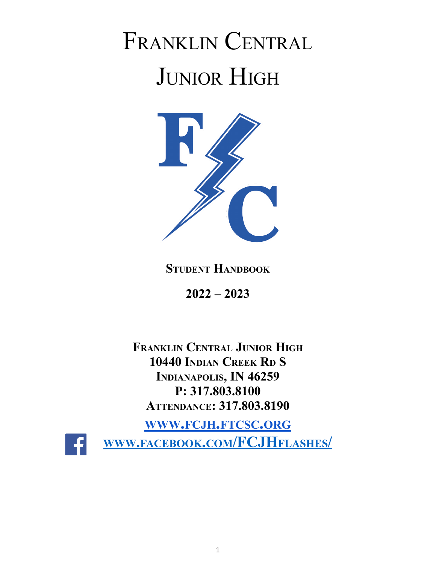# FRANKLIN CENTRAL JUNIOR HIGH



# **STUDENT HANDBOOK**

**2022 – 2023**

**FRANKLIN CENTRAL JUNIOR HIGH 10440 INDIAN CREEK R<sup>D</sup> S INDIANAPOLIS, IN 46259 P: 317.803.8100 ATTENDANCE: 317.803.8190**

**WWW.FCJH.[FTCSC](http://www.fcjh.ftcsc.org).ORG**



**WWW.FACEBOOK.COM[/FCJH](http://www.facebook.com/fchsflashes/)FLASHES/**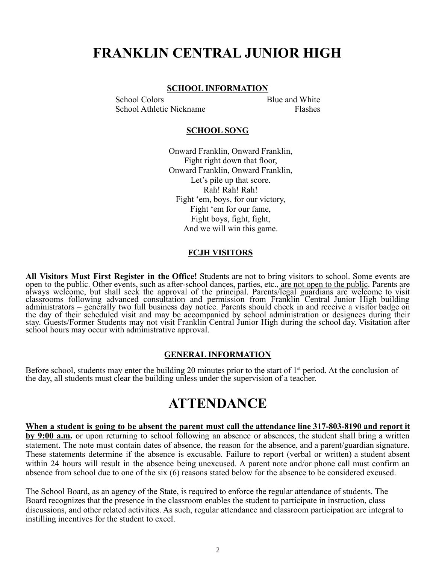# **FRANKLIN CENTRAL JUNIOR HIGH**

#### **SCHOOL INFORMATION**

School Colors Blue and White School Athletic Nickname Flashes

#### **SCHOOL SONG**

Onward Franklin, Onward Franklin, Fight right down that floor, Onward Franklin, Onward Franklin, Let's pile up that score. Rah! Rah! Rah! Fight 'em, boys, for our victory, Fight 'em for our fame, Fight boys, fight, fight, And we will win this game.

#### **FCJH VISITORS**

**All Visitors Must First Register in the Office!** Students are not to bring visitors to school. Some events are open to the public. Other events, such as after-school dances, parties, etc., <u>are not open to the public</u>. Parents are always welcome, but shall seek the approval of the principal. Parents/legal guardians are welcome to visit classrooms following advanced consultation and permission from Franklin Central Junior High building administrators – generally two full business day notice. Parents should check in and receive a visitor badge on the day of their scheduled visit and may be accompanied by school administration or designees during their stay. Guests/Former Students may not visit Franklin Central Junior High during the school day. Visitation after school hours may occur with administrative approval.

#### **GENERAL INFORMATION**

Before school, students may enter the building 20 minutes prior to the start of  $1<sup>st</sup>$  period. At the conclusion of the day, all students must clear the building unless under the supervision of a teacher.

# **ATTENDANCE**

When a student is going to be absent the parent must call the attendance line 317-803-8190 and report it **by 9:00 a.m.** or upon returning to school following an absence or absences, the student shall bring a written statement. The note must contain dates of absence, the reason for the absence, and a parent/guardian signature. These statements determine if the absence is excusable. Failure to report (verbal or written) a student absent within 24 hours will result in the absence being unexcused. A parent note and/or phone call must confirm an absence from school due to one of the six (6) reasons stated below for the absence to be considered excused.

The School Board, as an agency of the State, is required to enforce the regular attendance of students. The Board recognizes that the presence in the classroom enables the student to participate in instruction, class discussions, and other related activities. As such, regular attendance and classroom participation are integral to instilling incentives for the student to excel.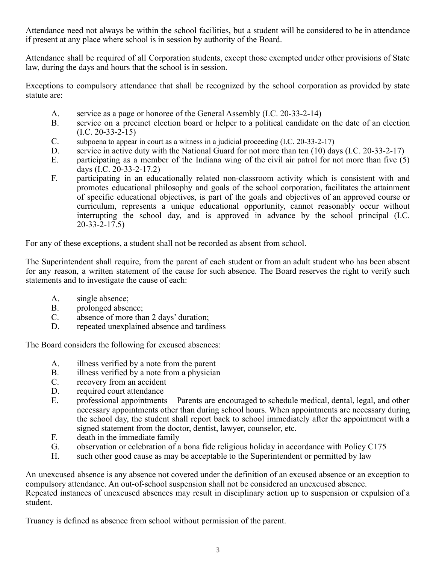Attendance need not always be within the school facilities, but a student will be considered to be in attendance if present at any place where school is in session by authority of the Board.

Attendance shall be required of all Corporation students, except those exempted under other provisions of State law, during the days and hours that the school is in session.

Exceptions to compulsory attendance that shall be recognized by the school corporation as provided by state statute are:

- A. service as a page or honoree of the General Assembly (I.C. 20-33-2-14)
- B. service on a precinct election board or helper to a political candidate on the date of an election  $(I.C. 20-33-2-15)$
- C. subpoena to appear in court as a witness in a judicial proceeding (I.C. 20-33-2-17)
- D. service in active duty with the National Guard for not more than ten (10) days (I.C. 20-33-2-17)
- E. participating as a member of the Indiana wing of the civil air patrol for not more than five (5) days (I.C. 20-33-2-17.2)
- F. participating in an educationally related non-classroom activity which is consistent with and promotes educational philosophy and goals of the school corporation, facilitates the attainment of specific educational objectives, is part of the goals and objectives of an approved course or curriculum, represents a unique educational opportunity, cannot reasonably occur without interrupting the school day, and is approved in advance by the school principal (I.C. 20-33-2-17.5)

For any of these exceptions, a student shall not be recorded as absent from school.

The Superintendent shall require, from the parent of each student or from an adult student who has been absent for any reason, a written statement of the cause for such absence. The Board reserves the right to verify such statements and to investigate the cause of each:

- A. single absence;
- B. prolonged absence;
- C. absence of more than 2 days' duration;<br>D. repeated unexplained absence and tardi
- repeated unexplained absence and tardiness

The Board considers the following for excused absences:

- A. illness verified by a note from the parent
- B. illness verified by a note from a physician
- C. recovery from an accident
- D. required court attendance
- E. professional appointments Parents are encouraged to schedule medical, dental, legal, and other necessary appointments other than during school hours. When appointments are necessary during the school day, the student shall report back to school immediately after the appointment with a signed statement from the doctor, dentist, lawyer, counselor, etc.
- F. death in the immediate family
- G. observation or celebration of a bona fide religious holiday in accordance with Policy C175
- H. such other good cause as may be acceptable to the Superintendent or permitted by law

An unexcused absence is any absence not covered under the definition of an excused absence or an exception to compulsory attendance. An out-of-school suspension shall not be considered an unexcused absence. Repeated instances of unexcused absences may result in disciplinary action up to suspension or expulsion of a student.

Truancy is defined as absence from school without permission of the parent.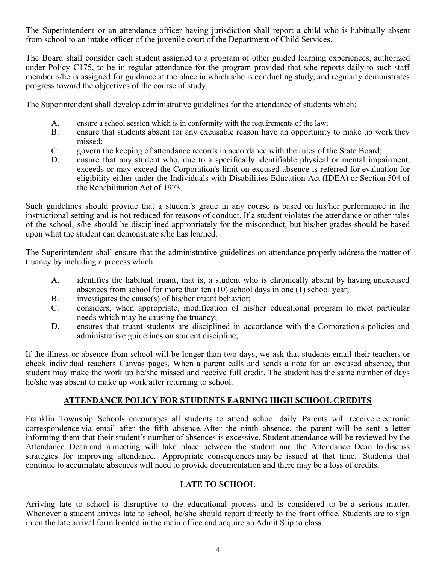The Superintendent or an attendance officer having jurisdiction shall report a child who is habitually absent from school to an intake officer of the juvenile court of the Department of Child Services.

The Board shall consider each student assigned to a program of other guided learning experiences, authorized under Policy C175, to be in regular attendance for the program provided that s/he reports daily to such staff member s/he is assigned for guidance at the place in which s/he is conducting study, and regularly demonstrates progress toward the objectives of the course of study.

The Superintendent shall develop administrative guidelines for the attendance of students which:

- A. ensure a school session which is in conformity with the requirements of the law;
- B. ensure that students absent for any excusable reason have an opportunity to make up work they missed;
- C. govern the keeping of attendance records in accordance with the rules of the State Board;
- D. ensure that any student who, due to a specifically identifiable physical or mental impairment, exceeds or may exceed the Corporation's limit on excused absence is referred for evaluation for eligibility either under the Individuals with Disabilities Education Act (IDEA) or Section 504 of the Rehabilitation Act of 1973.

Such guidelines should provide that a student's grade in any course is based on his/her performance in the instructional setting and is not reduced for reasons of conduct. If a student violates the attendance or other rules of the school, s/he should be disciplined appropriately for the misconduct, but his/her grades should be based upon what the student can demonstrate s/he has learned.

The Superintendent shall ensure that the administrative guidelines on attendance properly address the matter of truancy by including a process which:

- A. identifies the habitual truant, that is, a student who is chronically absent by having unexcused absences from school for more than ten (10) school days in one (1) school year;
- B. investigates the cause(s) of his/her truant behavior;
- C. considers, when appropriate, modification of his/her educational program to meet particular needs which may be causing the truancy;
- D. ensures that truant students are disciplined in accordance with the Corporation's policies and administrative guidelines on student discipline;

If the illness or absence from school will be longer than two days, we ask that students email their teachers or check individual teachers Canvas pages. When a parent calls and sends a note for an excused absence, that student may make the work up he/she missed and receive full credit. The student has the same number of days he/she was absent to make up work after returning to school.

# **ATTENDANCE POLICY FOR STUDENTS EARNING HIGH SCHOOL CREDITS**

Franklin Township Schools encourages all students to attend school daily. Parents will receive electronic correspondence via email after the fifth absence. After the ninth absence, the parent will be sent a letter informing them that their student's number of absences is excessive. Student attendance will be reviewed by the Attendance Dean and a meeting will take place between the student and the Attendance Dean to discuss strategies for improving attendance. Appropriate consequences may be issued at that time. Students that continue to accumulate absences will need to provide documentation and there may be a loss of credits**.**

### **LATE TO SCHOOL**

Arriving late to school is disruptive to the educational process and is considered to be a serious matter. Whenever a student arrives late to school, he/she should report directly to the front office. Students are to sign in on the late arrival form located in the main office and acquire an Admit Slip to class.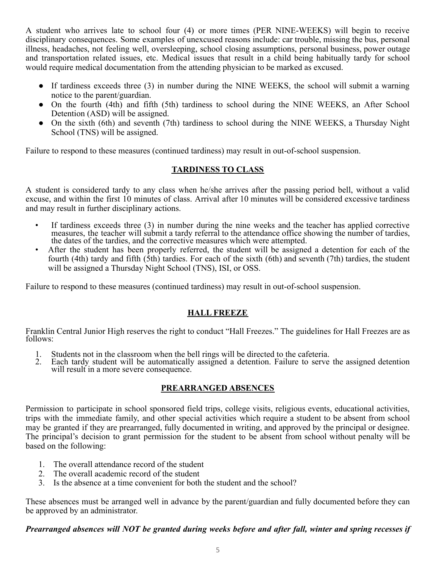A student who arrives late to school four (4) or more times (PER NINE-WEEKS) will begin to receive disciplinary consequences. Some examples of unexcused reasons include: car trouble, missing the bus, personal illness, headaches, not feeling well, oversleeping, school closing assumptions, personal business, power outage and transportation related issues, etc. Medical issues that result in a child being habitually tardy for school would require medical documentation from the attending physician to be marked as excused.

- If tardiness exceeds three (3) in number during the NINE WEEKS, the school will submit a warning notice to the parent/guardian.
- On the fourth (4th) and fifth (5th) tardiness to school during the NINE WEEKS, an After School Detention (ASD) will be assigned.
- On the sixth (6th) and seventh (7th) tardiness to school during the NINE WEEKS, a Thursday Night School (TNS) will be assigned.

Failure to respond to these measures (continued tardiness) may result in out-of-school suspension.

# **TARDINESS TO CLASS**

A student is considered tardy to any class when he/she arrives after the passing period bell, without a valid excuse, and within the first 10 minutes of class. Arrival after 10 minutes will be considered excessive tardiness and may result in further disciplinary actions.

- If tardiness exceeds three (3) in number during the nine weeks and the teacher has applied corrective measures, the teacher will submit a tardy referral to the attendance office showing the number of tardies, the dates of the tardies, and the corrective measures which were attempted.
- After the student has been properly referred, the student will be assigned a detention for each of the fourth (4th) tardy and fifth (5th) tardies. For each of the sixth (6th) and seventh (7th) tardies, the student will be assigned a Thursday Night School *(TNS)*, *ISI*, or *OSS*.

Failure to respond to these measures (continued tardiness) may result in out-of-school suspension.

# **HALL FREEZE**

Franklin Central Junior High reserves the right to conduct "Hall Freezes." The guidelines for Hall Freezes are as follows:

- 1. Students not in the classroom when the bell rings will be directed to the cafeteria.<br>2. Each tardy student will be automatically assigned a detention. Failure to serve
- Each tardy student will be automatically assigned a detention. Failure to serve the assigned detention will result in a more severe consequence.

# **PREARRANGED ABSENCES**

Permission to participate in school sponsored field trips, college visits, religious events, educational activities, trips with the immediate family, and other special activities which require a student to be absent from school may be granted if they are prearranged, fully documented in writing, and approved by the principal or designee. The principal's decision to grant permission for the student to be absent from school without penalty will be based on the following:

- 1. The overall attendance record of the student
- 2. The overall academic record of the student
- 3. Is the absence at a time convenient for both the student and the school?

These absences must be arranged well in advance by the parent/guardian and fully documented before they can be approved by an administrator.

### Prearranged absences will NOT be granted during weeks before and after fall, winter and spring recesses if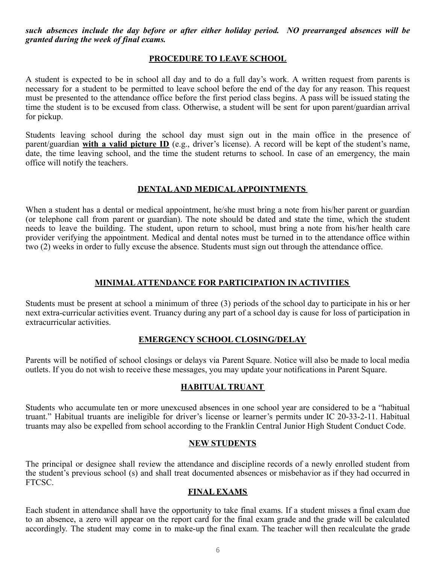*such absences include the day before or after either holiday period. NO prearranged absences will be granted during the week of final exams.*

#### **PROCEDURE TO LEAVE SCHOOL**

A student is expected to be in school all day and to do a full day's work. A written request from parents is necessary for a student to be permitted to leave school before the end of the day for any reason. This request must be presented to the attendance office before the first period class begins. A pass will be issued stating the time the student is to be excused from class. Otherwise, a student will be sent for upon parent/guardian arrival for pickup.

Students leaving school during the school day must sign out in the main office in the presence of parent/guardian **with a valid picture ID** (e.g., driver's license). A record will be kept of the student's name, date, the time leaving school, and the time the student returns to school. In case of an emergency, the main office will notify the teachers.

#### **DENTALAND MEDICALAPPOINTMENTS**

When a student has a dental or medical appointment, he/she must bring a note from his/her parent or guardian (or telephone call from parent or guardian). The note should be dated and state the time, which the student needs to leave the building. The student, upon return to school, must bring a note from his/her health care provider verifying the appointment. Medical and dental notes must be turned in to the attendance office within two (2) weeks in order to fully excuse the absence. Students must sign out through the attendance office.

#### **MINIMALATTENDANCE FOR PARTICIPATION IN ACTIVITIES**

Students must be present at school a minimum of three (3) periods of the school day to participate in his or her next extra-curricular activities event. Truancy during any part of a school day is cause for loss of participation in extracurricular activities.

#### **EMERGENCY SCHOOL CLOSING/DELAY**

Parents will be notified of school closings or delays via Parent Square. Notice will also be made to local media outlets. If you do not wish to receive these messages, you may update your notifications in Parent Square.

#### **HABITUAL TRUANT**

Students who accumulate ten or more unexcused absences in one school year are considered to be a "habitual truant." Habitual truants are ineligible for driver's license or learner's permits under IC 20-33-2-11. Habitual truants may also be expelled from school according to the Franklin Central Junior High Student Conduct Code.

#### **NEW STUDENTS**

The principal or designee shall review the attendance and discipline records of a newly enrolled student from the student's previous school (s) and shall treat documented absences or misbehavior as if they had occurred in FTCSC.

#### **FINAL EXAMS**

Each student in attendance shall have the opportunity to take final exams. If a student misses a final exam due to an absence, a zero will appear on the report card for the final exam grade and the grade will be calculated accordingly. The student may come in to make-up the final exam. The teacher will then recalculate the grade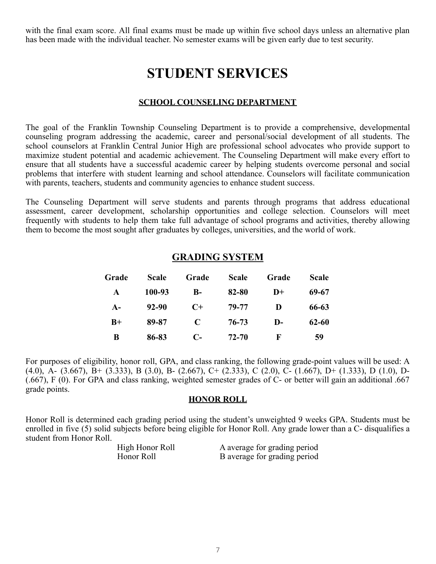with the final exam score. All final exams must be made up within five school days unless an alternative plan has been made with the individual teacher. No semester exams will be given early due to test security.

# **STUDENT SERVICES**

#### **SCHOOL COUNSELING DEPARTMENT**

The goal of the Franklin Township Counseling Department is to provide a comprehensive, developmental counseling program addressing the academic, career and personal/social development of all students. The school counselors at Franklin Central Junior High are professional school advocates who provide support to maximize student potential and academic achievement. The Counseling Department will make every effort to ensure that all students have a successful academic career by helping students overcome personal and social problems that interfere with student learning and school attendance. Counselors will facilitate communication with parents, teachers, students and community agencies to enhance student success.

The Counseling Department will serve students and parents through programs that address educational assessment, career development, scholarship opportunities and college selection. Counselors will meet frequently with students to help them take full advantage of school programs and activities, thereby allowing them to become the most sought after graduates by colleges, universities, and the world of work.

| Grade | <b>Scale</b> | Grade        | <b>Scale</b> | Grade        | <b>Scale</b> |
|-------|--------------|--------------|--------------|--------------|--------------|
| A     | 100-93       | $\mathbf{B}$ | 82-80        | $D+$         | 69-67        |
| $A-$  | 92-90        | $C+$         | 79-77        | D            | 66-63        |
| $B+$  | 89-87        | C            | 76-73        | $\mathbf{D}$ | $62 - 60$    |
| B     | 86-83        | C-           | 72-70        | F            | 59           |

### **GRADING SYSTEM**

For purposes of eligibility, honor roll, GPA, and class ranking, the following grade-point values will be used: A (4.0), A- (3.667), B+ (3.333), B (3.0), B- (2.667), C+ (2.333), C (2.0), C- (1.667), D+ (1.333), D (1.0), D- (.667), F (0). For GPA and class ranking, weighted semester grades of C- or better will gain an additional .667 grade points.

#### **HONOR ROLL**

Honor Roll is determined each grading period using the student's unweighted 9 weeks GPA. Students must be enrolled in five (5) solid subjects before being eligible for Honor Roll. Any grade lower than a C- disqualifies a student from Honor Roll.

| High Honor Roll | A average for grading period |
|-----------------|------------------------------|
| Honor Roll      | B average for grading period |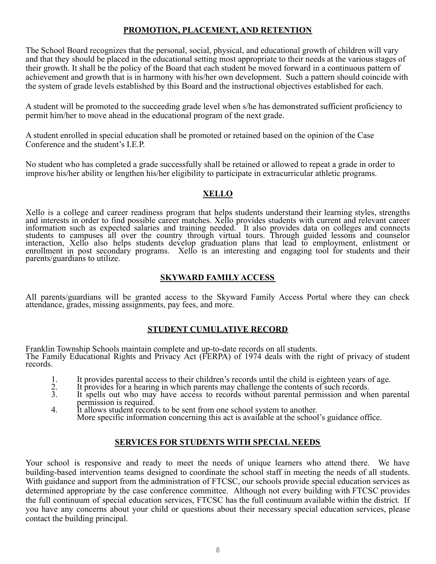### **PROMOTION, PLACEMENT, AND RETENTION**

The School Board recognizes that the personal, social, physical, and educational growth of children will vary and that they should be placed in the educational setting most appropriate to their needs at the various stages of their growth. It shall be the policy of the Board that each student be moved forward in a continuous pattern of achievement and growth that is in harmony with his/her own development. Such a pattern should coincide with the system of grade levels established by this Board and the instructional objectives established for each.

A student will be promoted to the succeeding grade level when s/he has demonstrated sufficient proficiency to permit him/her to move ahead in the educational program of the next grade.

A student enrolled in special education shall be promoted or retained based on the opinion of the Case Conference and the student's I.E.P.

No student who has completed a grade successfully shall be retained or allowed to repeat a grade in order to improve his/her ability or lengthen his/her eligibility to participate in extracurricular athletic programs.

# **XELLO**

Xello is a college and career readiness program that helps students understand their learning styles, strengths and interests in order to find possible career matches. Xello provides students with current and relevant career information such as expected salaries and training needed. It also provides data on colleges and connects students to campuses all over the country through virtual tours. Through guided lessons and counselor interaction, Xello also helps students develop graduation plans that lead to employment, enlistment or enrollment in post secondary programs. Xello is an interesting and engaging tool for students and their parents/guardians to utilize.

#### **SKYWARD FAMILY ACCESS**

All parents/guardians will be granted access to the Skyward Family Access Portal where they can check attendance, grades, missing assignments, pay fees, and more.

### **STUDENT CUMULATIVE RECORD**

Franklin Township Schools maintain complete and up-to-date records on all students. The Family Educational Rights and Privacy Act (FERPA) of 1974 deals with the right of privacy of student records.

- 
- 1. It provides parental access to their children's records until the child is eighteen years of age.<br>
2. It provides for a hearing in which parents may challenge the contents of such records.<br>
1. It spells out who may have 2. It provides for a hearing in which parents may challenge the contents of such records.
- 3. It spells out who may have access to records without parental permission and when parental permission is required.
- 4. It allows student records to be sent from one school system to another. More specific information concerning this act is available at the school's guidance office.

#### **SERVICES FOR STUDENTS WITH SPECIAL NEEDS**

Your school is responsive and ready to meet the needs of unique learners who attend there. We have building-based intervention teams designed to coordinate the school staff in meeting the needs of all students. With guidance and support from the administration of FTCSC, our schools provide special education services as determined appropriate by the case conference committee. Although not every building with FTCSC provides the full continuum of special education services, FTCSC has the full continuum available within the district. If you have any concerns about your child or questions about their necessary special education services, please contact the building principal.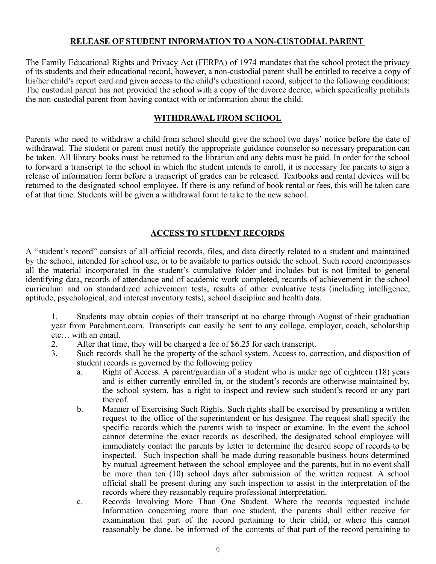#### **RELEASE OF STUDENT INFORMATION TO A NON-CUSTODIAL PARENT**

The Family Educational Rights and Privacy Act (FERPA) of 1974 mandates that the school protect the privacy of its students and their educational record, however, a non-custodial parent shall be entitled to receive a copy of his/her child's report card and given access to the child's educational record, subject to the following conditions: The custodial parent has not provided the school with a copy of the divorce decree, which specifically prohibits the non-custodial parent from having contact with or information about the child.

#### **WITHDRAWAL FROM SCHOOL**

Parents who need to withdraw a child from school should give the school two days' notice before the date of withdrawal. The student or parent must notify the appropriate guidance counselor so necessary preparation can be taken. All library books must be returned to the librarian and any debts must be paid. In order for the school to forward a transcript to the school in which the student intends to enroll, it is necessary for parents to sign a release of information form before a transcript of grades can be released. Textbooks and rental devices will be returned to the designated school employee. If there is any refund of book rental or fees, this will be taken care of at that time. Students will be given a withdrawal form to take to the new school.

#### **ACCESS TO STUDENT RECORDS**

A "student's record" consists of all official records, files, and data directly related to a student and maintained by the school, intended for school use, or to be available to parties outside the school. Such record encompasses all the material incorporated in the student's cumulative folder and includes but is not limited to general identifying data, records of attendance and of academic work completed, records of achievement in the school curriculum and on standardized achievement tests, results of other evaluative tests (including intelligence, aptitude, psychological, and interest inventory tests), school discipline and health data.

1. Students may obtain copies of their transcript at no charge through August of their graduation year from Parchment.com. Transcripts can easily be sent to any college, employer, coach, scholarship etc… with an email.

- 2. After that time, they will be charged a fee of \$6.25 for each transcript.
- 3. Such records shall be the property of the school system. Access to, correction, and disposition of student records is governed by the following policy
	- a. Right of Access. A parent/guardian of a student who is under age of eighteen (18) years and is either currently enrolled in, or the student's records are otherwise maintained by, the school system, has a right to inspect and review such student's record or any part thereof.
	- b. Manner of Exercising Such Rights. Such rights shall be exercised by presenting a written request to the office of the superintendent or his designee. The request shall specify the specific records which the parents wish to inspect or examine. In the event the school cannot determine the exact records as described, the designated school employee will immediately contact the parents by letter to determine the desired scope of records to be inspected. Such inspection shall be made during reasonable business hours determined by mutual agreement between the school employee and the parents, but in no event shall be more than ten (10) school days after submission of the written request. A school official shall be present during any such inspection to assist in the interpretation of the records where they reasonably require professional interpretation.
	- c. Records Involving More Than One Student. Where the records requested include Information concerning more than one student, the parents shall either receive for examination that part of the record pertaining to their child, or where this cannot reasonably be done, be informed of the contents of that part of the record pertaining to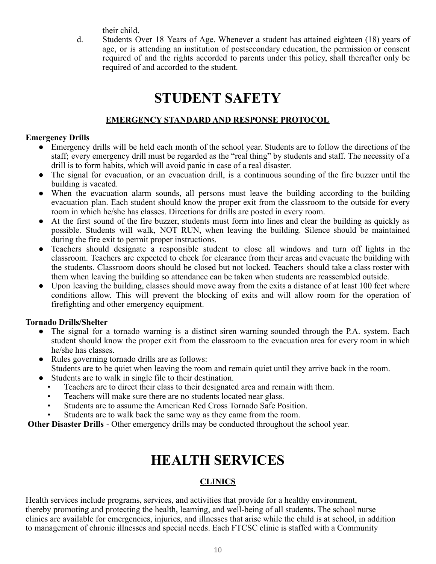their child.

d. Students Over 18 Years of Age. Whenever a student has attained eighteen (18) years of age, or is attending an institution of postsecondary education, the permission or consent required of and the rights accorded to parents under this policy, shall thereafter only be required of and accorded to the student.

# **STUDENT SAFETY**

# **EMERGENCY STANDARD AND RESPONSE PROTOCOL**

#### **Emergency Drills**

- Emergency drills will be held each month of the school year. Students are to follow the directions of the staff; every emergency drill must be regarded as the "real thing" by students and staff. The necessity of a drill is to form habits, which will avoid panic in case of a real disaster.
- The signal for evacuation, or an evacuation drill, is a continuous sounding of the fire buzzer until the building is vacated.
- When the evacuation alarm sounds, all persons must leave the building according to the building evacuation plan. Each student should know the proper exit from the classroom to the outside for every room in which he/she has classes. Directions for drills are posted in every room.
- At the first sound of the fire buzzer, students must form into lines and clear the building as quickly as possible. Students will walk, NOT RUN, when leaving the building. Silence should be maintained during the fire exit to permit proper instructions.
- Teachers should designate a responsible student to close all windows and turn off lights in the classroom. Teachers are expected to check for clearance from their areas and evacuate the building with the students. Classroom doors should be closed but not locked. Teachers should take a class roster with them when leaving the building so attendance can be taken when students are reassembled outside.
- Upon leaving the building, classes should move away from the exits a distance of at least 100 feet where conditions allow. This will prevent the blocking of exits and will allow room for the operation of firefighting and other emergency equipment.

### **Tornado Drills/Shelter**

- The signal for a tornado warning is a distinct siren warning sounded through the P.A. system. Each student should know the proper exit from the classroom to the evacuation area for every room in which he/she has classes.
- Rules governing tornado drills are as follows: Students are to be quiet when leaving the room and remain quiet until they arrive back in the room.
- Students are to walk in single file to their destination.
	- Teachers are to direct their class to their designated area and remain with them.
	- Teachers will make sure there are no students located near glass.
	- Students are to assume the American Red Cross Tornado Safe Position.
	- Students are to walk back the same way as they came from the room.

**Other Disaster Drills** - Other emergency drills may be conducted throughout the school year.

# **HEALTH SERVICES**

# **CLINICS**

Health services include programs, services, and activities that provide for a healthy environment, thereby promoting and protecting the health, learning, and well-being of all students. The school nurse clinics are available for emergencies, injuries, and illnesses that arise while the child is at school, in addition to management of chronic illnesses and special needs. Each FTCSC clinic is staffed with a Community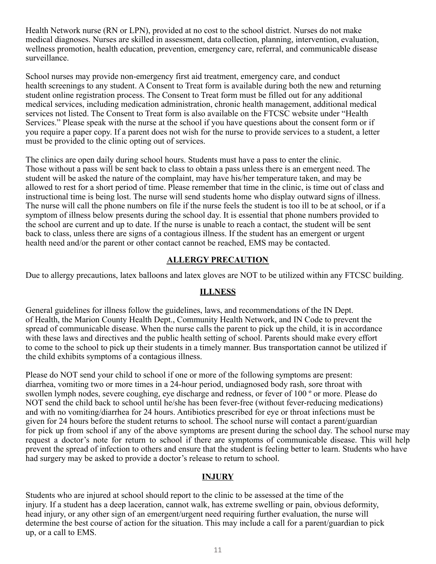Health Network nurse (RN or LPN), provided at no cost to the school district. Nurses do not make medical diagnoses. Nurses are skilled in assessment, data collection, planning, intervention, evaluation, wellness promotion, health education, prevention, emergency care, referral, and communicable disease surveillance.

School nurses may provide non-emergency first aid treatment, emergency care, and conduct health screenings to any student. A Consent to Treat form is available during both the new and returning student online registration process. The Consent to Treat form must be filled out for any additional medical services, including medication administration, chronic health management, additional medical services not listed. The Consent to Treat form is also available on the FTCSC website under "Health Services." Please speak with the nurse at the school if you have questions about the consent form or if you require a paper copy. If a parent does not wish for the nurse to provide services to a student, a letter must be provided to the clinic opting out of services.

The clinics are open daily during school hours. Students must have a pass to enter the clinic. Those without a pass will be sent back to class to obtain a pass unless there is an emergent need. The student will be asked the nature of the complaint, may have his/her temperature taken, and may be allowed to rest for a short period of time. Please remember that time in the clinic, is time out of class and instructional time is being lost. The nurse will send students home who display outward signs of illness. The nurse will call the phone numbers on file if the nurse feels the student is too ill to be at school, or if a symptom of illness below presents during the school day. It is essential that phone numbers provided to the school are current and up to date. If the nurse is unable to reach a contact, the student will be sent back to class, unless there are signs of a contagious illness. If the student has an emergent or urgent health need and/or the parent or other contact cannot be reached, EMS may be contacted.

#### **ALLERGY PRECAUTION**

Due to allergy precautions, latex balloons and latex gloves are NOT to be utilized within any FTCSC building.

#### **ILLNESS**

General guidelines for illness follow the guidelines, laws, and recommendations of the IN Dept. of Health, the Marion County Health Dept., Community Health Network, and IN Code to prevent the spread of communicable disease. When the nurse calls the parent to pick up the child, it is in accordance with these laws and directives and the public health setting of school. Parents should make every effort to come to the school to pick up their students in a timely manner. Bus transportation cannot be utilized if the child exhibits symptoms of a contagious illness.

Please do NOT send your child to school if one or more of the following symptoms are present: diarrhea, vomiting two or more times in a 24-hour period, undiagnosed body rash, sore throat with swollen lymph nodes, severe coughing, eye discharge and redness, or fever of 100 º or more. Please do NOT send the child back to school until he/she has been fever-free (without fever-reducing medications) and with no vomiting/diarrhea for 24 hours. Antibiotics prescribed for eye or throat infections must be given for 24 hours before the student returns to school. The school nurse will contact a parent/guardian for pick up from school if any of the above symptoms are present during the school day. The school nurse may request a doctor's note for return to school if there are symptoms of communicable disease. This will help prevent the spread of infection to others and ensure that the student is feeling better to learn. Students who have had surgery may be asked to provide a doctor's release to return to school.

### **INJURY**

Students who are injured at school should report to the clinic to be assessed at the time of the injury. If a student has a deep laceration, cannot walk, has extreme swelling or pain, obvious deformity, head injury, or any other sign of an emergent/urgent need requiring further evaluation, the nurse will determine the best course of action for the situation. This may include a call for a parent/guardian to pick up, or a call to EMS.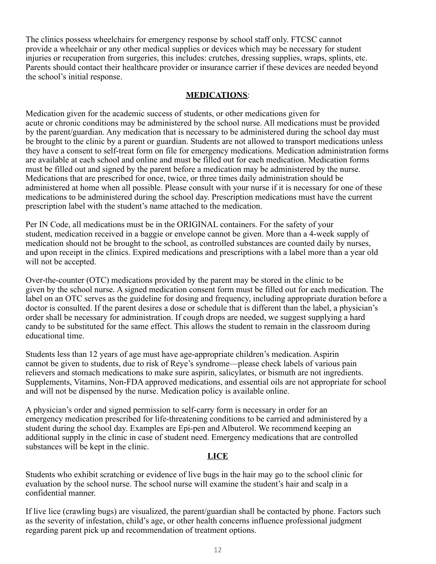The clinics possess wheelchairs for emergency response by school staff only. FTCSC cannot provide a wheelchair or any other medical supplies or devices which may be necessary for student injuries or recuperation from surgeries, this includes: crutches, dressing supplies, wraps, splints, etc. Parents should contact their healthcare provider or insurance carrier if these devices are needed beyond the school's initial response.

#### **MEDICATIONS**:

Medication given for the academic success of students, or other medications given for acute or chronic conditions may be administered by the school nurse. All medications must be provided by the parent/guardian. Any medication that is necessary to be administered during the school day must be brought to the clinic by a parent or guardian. Students are not allowed to transport medications unless they have a consent to self-treat form on file for emergency medications. Medication administration forms are available at each school and online and must be filled out for each medication. Medication forms must be filled out and signed by the parent before a medication may be administered by the nurse. Medications that are prescribed for once, twice, or three times daily administration should be administered at home when all possible. Please consult with your nurse if it is necessary for one of these medications to be administered during the school day. Prescription medications must have the current prescription label with the student's name attached to the medication.

Per IN Code, all medications must be in the ORIGINAL containers. For the safety of your student, medication received in a baggie or envelope cannot be given. More than a 4-week supply of medication should not be brought to the school, as controlled substances are counted daily by nurses, and upon receipt in the clinics. Expired medications and prescriptions with a label more than a year old will not be accepted.

Over-the-counter (OTC) medications provided by the parent may be stored in the clinic to be given by the school nurse. A signed medication consent form must be filled out for each medication. The label on an OTC serves as the guideline for dosing and frequency, including appropriate duration before a doctor is consulted. If the parent desires a dose or schedule that is different than the label, a physician's order shall be necessary for administration. If cough drops are needed, we suggest supplying a hard candy to be substituted for the same effect. This allows the student to remain in the classroom during educational time.

Students less than 12 years of age must have age-appropriate children's medication. Aspirin cannot be given to students, due to risk of Reye's syndrome—please check labels of various pain relievers and stomach medications to make sure aspirin, salicylates, or bismuth are not ingredients. Supplements, Vitamins, Non-FDA approved medications, and essential oils are not appropriate for school and will not be dispensed by the nurse. Medication policy is available online.

A physician's order and signed permission to self-carry form is necessary in order for an emergency medication prescribed for life-threatening conditions to be carried and administered by a student during the school day. Examples are Epi-pen and Albuterol. We recommend keeping an additional supply in the clinic in case of student need. Emergency medications that are controlled substances will be kept in the clinic.

#### **LICE**

Students who exhibit scratching or evidence of live bugs in the hair may go to the school clinic for evaluation by the school nurse. The school nurse will examine the student's hair and scalp in a confidential manner.

If live lice (crawling bugs) are visualized, the parent/guardian shall be contacted by phone. Factors such as the severity of infestation, child's age, or other health concerns influence professional judgment regarding parent pick up and recommendation of treatment options.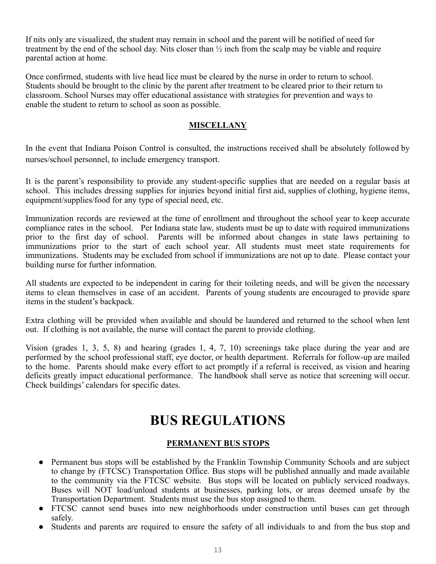If nits only are visualized, the student may remain in school and the parent will be notified of need for treatment by the end of the school day. Nits closer than  $\frac{1}{2}$  inch from the scalp may be viable and require parental action at home.

Once confirmed, students with live head lice must be cleared by the nurse in order to return to school. Students should be brought to the clinic by the parent after treatment to be cleared prior to their return to classroom. School Nurses may offer educational assistance with strategies for prevention and ways to enable the student to return to school as soon as possible.

### **MISCELLANY**

In the event that Indiana Poison Control is consulted, the instructions received shall be absolutely followed by nurses/school personnel, to include emergency transport.

It is the parent's responsibility to provide any student-specific supplies that are needed on a regular basis at school. This includes dressing supplies for injuries beyond initial first aid, supplies of clothing, hygiene items, equipment/supplies/food for any type of special need, etc.

Immunization records are reviewed at the time of enrollment and throughout the school year to keep accurate compliance rates in the school. Per Indiana state law, students must be up to date with required immunizations prior to the first day of school. Parents will be informed about changes in state laws pertaining to immunizations prior to the start of each school year. All students must meet state requirements for immunizations. Students may be excluded from school if immunizations are not up to date. Please contact your building nurse for further information.

All students are expected to be independent in caring for their toileting needs, and will be given the necessary items to clean themselves in case of an accident. Parents of young students are encouraged to provide spare items in the student's backpack.

Extra clothing will be provided when available and should be laundered and returned to the school when lent out. If clothing is not available, the nurse will contact the parent to provide clothing.

Vision (grades 1, 3, 5, 8) and hearing (grades 1, 4, 7, 10) screenings take place during the year and are performed by the school professional staff, eye doctor, or health department. Referrals for follow-up are mailed to the home. Parents should make every effort to act promptly if a referral is received, as vision and hearing deficits greatly impact educational performance. The handbook shall serve as notice that screening will occur. Check buildings' calendars for specific dates.

# **BUS REGULATIONS**

# **PERMANENT BUS STOPS**

- Permanent bus stops will be established by the Franklin Township Community Schools and are subject to change by (FTCSC) Transportation Office. Bus stops will be published annually and made available to the community via the FTCSC website. Bus stops will be located on publicly serviced roadways. Buses will NOT load/unload students at businesses, parking lots, or areas deemed unsafe by the Transportation Department. Students must use the bus stop assigned to them.
- FTCSC cannot send buses into new neighborhoods under construction until buses can get through safely.
- Students and parents are required to ensure the safety of all individuals to and from the bus stop and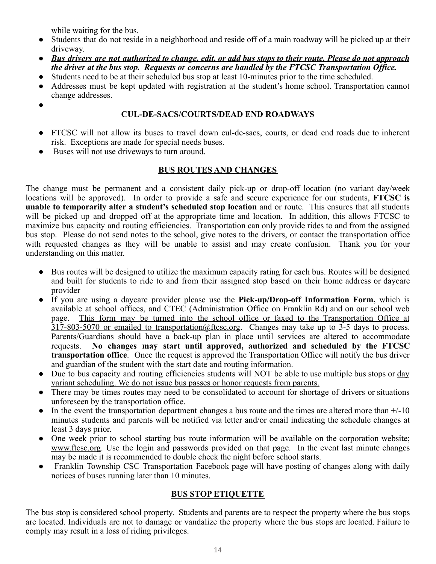while waiting for the bus.

- Students that do not reside in a neighborhood and reside off of a main roadway will be picked up at their driveway.
- Bus drivers are not authorized to change, edit, or add bus stops to their route. Please do not approach *the driver at the bus stop. Requests or concerns are handled by the FTCSC Transportation Office.*
- Students need to be at their scheduled bus stop at least 10-minutes prior to the time scheduled.
- Addresses must be kept updated with registration at the student's home school. Transportation cannot change addresses.
- ●

# **CUL-DE-SACS/COURTS/DEAD END ROADWAYS**

- **●** FTCSC will not allow its buses to travel down cul-de-sacs, courts, or dead end roads due to inherent risk. Exceptions are made for special needs buses.
- Buses will not use driveways to turn around.

# **BUS ROUTES AND CHANGES**

The change must be permanent and a consistent daily pick-up or drop-off location (no variant day/week locations will be approved). In order to provide a safe and secure experience for our students, **FTCSC is unable to temporarily alter a student's scheduled stop location** and or route. This ensures that all students will be picked up and dropped off at the appropriate time and location. In addition, this allows FTCSC to maximize bus capacity and routing efficiencies. Transportation can only provide rides to and from the assigned bus stop. Please do not send notes to the school, give notes to the drivers, or contact the transportation office with requested changes as they will be unable to assist and may create confusion. Thank you for your understanding on this matter.

- Bus routes will be designed to utilize the maximum capacity rating for each bus. Routes will be designed and built for students to ride to and from their assigned stop based on their home address or daycare provider
- If you are using a daycare provider please use the **Pick-up/Drop-off Information Form,** which is available at school offices, and CTEC (Administration Office on Franklin Rd) and on our school web page. This form may be turned into the school office or faxed to the Transportation Office at 317-803-5070 or emailed to transportation@ftcsc.org. Changes may take up to 3-5 days to process. Parents/Guardians should have a back-up plan in place until services are altered to accommodate requests. **No changes may start until approved, authorized and scheduled by the FTCSC transportation office**. Once the request is approved the Transportation Office will notify the bus driver and guardian of the student with the start date and routing information.
- Due to bus capacity and routing efficiencies students will NOT be able to use multiple bus stops or day variant scheduling. We do not issue bus passes or honor requests from parents.
- There may be times routes may need to be consolidated to account for shortage of drivers or situations unforeseen by the transportation office.
- In the event the transportation department changes a bus route and the times are altered more than  $+/-10$ minutes students and parents will be notified via letter and/or email indicating the schedule changes at least 3 days prior.
- One week prior to school starting bus route information will be available on the corporation website; [www.ftcsc.org.](http://www.ftcsc.org/) Use the login and passwords provided on that page. In the event last minute changes may be made it is recommended to double check the night before school starts.
- Franklin Township CSC Transportation Facebook page will have posting of changes along with daily notices of buses running later than 10 minutes.

# **BUS STOP ETIQUETTE**

The bus stop is considered school property. Students and parents are to respect the property where the bus stops are located. Individuals are not to damage or vandalize the property where the bus stops are located. Failure to comply may result in a loss of riding privileges.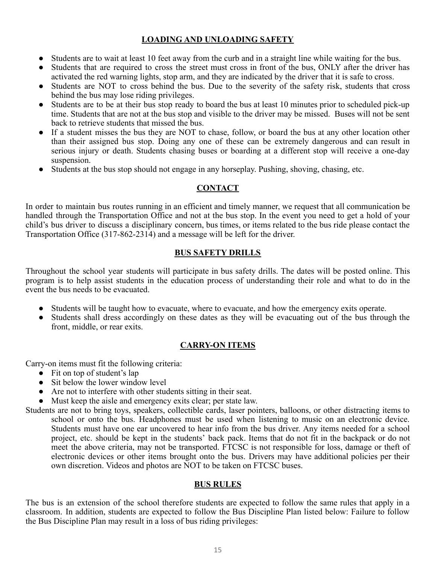# **LOADING AND UNLOADING SAFETY**

- Students are to wait at least 10 feet away from the curb and in a straight line while waiting for the bus.
- **●** Students that are required to cross the street must cross in front of the bus, ONLY after the driver has activated the red warning lights, stop arm, and they are indicated by the driver that it is safe to cross.
- **●** Students are NOT to cross behind the bus. Due to the severity of the safety risk, students that cross behind the bus may lose riding privileges.
- **●** Students are to be at their bus stop ready to board the bus at least 10 minutes prior to scheduled pick-up time. Students that are not at the bus stop and visible to the driver may be missed. Buses will not be sent back to retrieve students that missed the bus.
- **●** If a student misses the bus they are NOT to chase, follow, or board the bus at any other location other than their assigned bus stop. Doing any one of these can be extremely dangerous and can result in serious injury or death. Students chasing buses or boarding at a different stop will receive a one-day suspension.
- Students at the bus stop should not engage in any horseplay. Pushing, shoving, chasing, etc.

# **CONTACT**

In order to maintain bus routes running in an efficient and timely manner, we request that all communication be handled through the Transportation Office and not at the bus stop. In the event you need to get a hold of your child's bus driver to discuss a disciplinary concern, bus times, or items related to the bus ride please contact the Transportation Office (317-862-2314) and a message will be left for the driver.

# **BUS SAFETY DRILLS**

Throughout the school year students will participate in bus safety drills. The dates will be posted online. This program is to help assist students in the education process of understanding their role and what to do in the event the bus needs to be evacuated.

- Students will be taught how to evacuate, where to evacuate, and how the emergency exits operate.
- Students shall dress accordingly on these dates as they will be evacuating out of the bus through the front, middle, or rear exits.

# **CARRY-ON ITEMS**

Carry-on items must fit the following criteria:

- Fit on top of student's lap
- Sit below the lower window level
- Are not to interfere with other students sitting in their seat.
- Must keep the aisle and emergency exits clear; per state law.

Students are not to bring toys, speakers, collectible cards, laser pointers, balloons, or other distracting items to school or onto the bus. Headphones must be used when listening to music on an electronic device. Students must have one ear uncovered to hear info from the bus driver. Any items needed for a school project, etc. should be kept in the students' back pack. Items that do not fit in the backpack or do not meet the above criteria, may not be transported. FTCSC is not responsible for loss, damage or theft of electronic devices or other items brought onto the bus. Drivers may have additional policies per their own discretion. Videos and photos are NOT to be taken on FTCSC buses.

### **BUS RULES**

The bus is an extension of the school therefore students are expected to follow the same rules that apply in a classroom. In addition, students are expected to follow the Bus Discipline Plan listed below: Failure to follow the Bus Discipline Plan may result in a loss of bus riding privileges: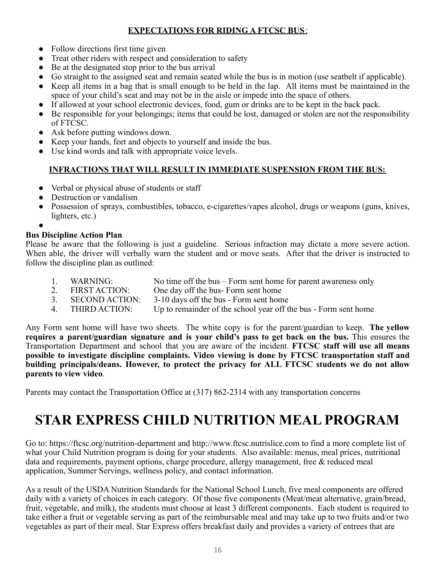# **EXPECTATIONS FOR RIDING A FTCSC BUS**:

- Follow directions first time given
- Treat other riders with respect and consideration to safety
- Be at the designated stop prior to the bus arrival
- Go straight to the assigned seat and remain seated while the bus is in motion (use seatbelt if applicable).
- Keep all items in a bag that is small enough to be held in the lap. All items must be maintained in the space of your child's seat and may not be in the aisle or impede into the space of others.
- If allowed at your school electronic devices, food, gum or drinks are to be kept in the back pack.
- Be responsible for your belongings; items that could be lost, damaged or stolen are not the responsibility of FTCSC.
- Ask before putting windows down.
- Keep your hands, feet and objects to yourself and inside the bus.
- Use kind words and talk with appropriate voice levels.

# **INFRACTIONS THAT WILL RESULT IN IMMEDIATE SUSPENSION FROM THE BUS:**

- Verbal or physical abuse of students or staff
- **Destruction or vandalism**
- Possession of sprays, combustibles, tobacco, e-cigarettes/vapes alcohol, drugs or weapons (guns, knives, lighters, etc.)

●

# **Bus Discipline Action Plan**

Please be aware that the following is just a guideline. Serious infraction may dictate a more severe action. When able, the driver will verbally warn the student and or move seats. After that the driver is instructed to follow the discipline plan as outlined:

- 1. WARNING: No time off the bus Form sent home for parent awareness only
- 2. FIRST ACTION: One day off the bus- Form sent home<br>3. SECOND ACTION: 3-10 days off the bus Form sent home
- 3. SECOND ACTION: 3-10 days off the bus Form sent home
- 4. THIRD ACTION: Up to remainder of the school year off the bus Form sent home

Any Form sent home will have two sheets. The white copy is for the parent/guardian to keep. **The yellow requires a parent/guardian signature and is your child's pass to get back on the bus.** This ensures the Transportation Department and school that you are aware of the incident. **FTCSC staff will use all means possible to investigate discipline complaints. Video viewing is done by FTCSC transportation staff and building principals/deans. However, to protect the privacy for ALL FTCSC students we do not allow parents to view video**.

Parents may contact the Transportation Office at (317) 862-2314 with any transportation concerns

# **STAR EXPRESS CHILD NUTRITION MEAL PROGRAM**

Go to: https://ftcsc.org/nutrition-department and http://www.ftcsc.nutrislice.com to find a more complete list of what your Child Nutrition program is doing for your students. Also available: menus, meal prices, nutritional data and requirements, payment options, charge procedure, allergy management, free & reduced meal application, Summer Servings, wellness policy, and contact information.

As a result of the USDA Nutrition Standards for the National School Lunch, five meal components are offered daily with a variety of choices in each category. Of those five components (Meat/meat alternative, grain/bread, fruit, vegetable, and milk), the students must choose at least 3 different components. Each student is required to take either a fruit or vegetable serving as part of the reimbursable meal and may take up to two fruits and/or two vegetables as part of their meal. Star Express offers breakfast daily and provides a variety of entrees that are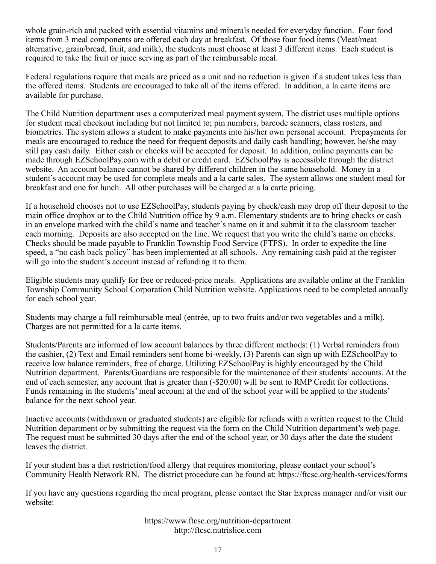whole grain-rich and packed with essential vitamins and minerals needed for everyday function. Four food items from 3 meal components are offered each day at breakfast. Of those four food items (Meat/meat alternative, grain/bread, fruit, and milk), the students must choose at least 3 different items. Each student is required to take the fruit or juice serving as part of the reimbursable meal.

Federal regulations require that meals are priced as a unit and no reduction is given if a student takes less than the offered items. Students are encouraged to take all of the items offered. In addition, a la carte items are available for purchase.

The Child Nutrition department uses a computerized meal payment system. The district uses multiple options for student meal checkout including but not limited to; pin numbers, barcode scanners, class rosters, and biometrics. The system allows a student to make payments into his/her own personal account. Prepayments for meals are encouraged to reduce the need for frequent deposits and daily cash handling; however, he/she may still pay cash daily. Either cash or checks will be accepted for deposit. In addition, online payments can be made through EZSchoolPay.com with a debit or credit card. EZSchoolPay is accessible through the district website. An account balance cannot be shared by different children in the same household. Money in a student's account may be used for complete meals and a la carte sales. The system allows one student meal for breakfast and one for lunch. All other purchases will be charged at a la carte pricing.

If a household chooses not to use EZSchoolPay, students paying by check/cash may drop off their deposit to the main office dropbox or to the Child Nutrition office by 9 a.m. Elementary students are to bring checks or cash in an envelope marked with the child's name and teacher's name on it and submit it to the classroom teacher each morning. Deposits are also accepted on the line. We request that you write the child's name on checks. Checks should be made payable to Franklin Township Food Service (FTFS). In order to expedite the line speed, a "no cash back policy" has been implemented at all schools. Any remaining cash paid at the register will go into the student's account instead of refunding it to them.

Eligible students may qualify for free or reduced-price meals. Applications are available online at the Franklin Township Community School Corporation Child Nutrition website. Applications need to be completed annually for each school year.

Students may charge a full reimbursable meal (entrée, up to two fruits and/or two vegetables and a milk). Charges are not permitted for a la carte items.

Students/Parents are informed of low account balances by three different methods: (1) Verbal reminders from the cashier, (2) Text and Email reminders sent home bi-weekly, (3) Parents can sign up with EZSchoolPay to receive low balance reminders, free of charge. Utilizing EZSchoolPay is highly encouraged by the Child Nutrition department. Parents/Guardians are responsible for the maintenance of their students' accounts. At the end of each semester, any account that is greater than (-\$20.00) will be sent to RMP Credit for collections. Funds remaining in the students' meal account at the end of the school year will be applied to the students' balance for the next school year.

Inactive accounts (withdrawn or graduated students) are eligible for refunds with a written request to the Child Nutrition department or by submitting the request via the form on the Child Nutrition department's web page. The request must be submitted 30 days after the end of the school year, or 30 days after the date the student leaves the district.

If your student has a diet restriction/food allergy that requires monitoring, please contact your school's Community Health Network RN. The district procedure can be found at: https://ftcsc.org/health-services/forms

If you have any questions regarding the meal program, please contact the Star Express manager and/or visit our website:

> https://www.ftcsc.org/nutrition-department http://ftcsc.nutrislice.com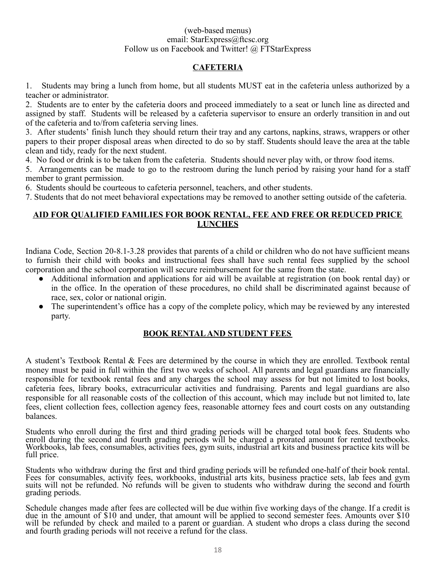#### (web-based menus) email: StarExpress@ftcsc.org Follow us on Facebook and Twitter! @ FTStarExpress

# **CAFETERIA**

1. Students may bring a lunch from home, but all students MUST eat in the cafeteria unless authorized by a teacher or administrator.

2. Students are to enter by the cafeteria doors and proceed immediately to a seat or lunch line as directed and assigned by staff. Students will be released by a cafeteria supervisor to ensure an orderly transition in and out of the cafeteria and to/from cafeteria serving lines.

3. After students' finish lunch they should return their tray and any cartons, napkins, straws, wrappers or other papers to their proper disposal areas when directed to do so by staff. Students should leave the area at the table clean and tidy, ready for the next student.

4. No food or drink is to be taken from the cafeteria. Students should never play with, or throw food items.

5. Arrangements can be made to go to the restroom during the lunch period by raising your hand for a staff member to grant permission.

6. Students should be courteous to cafeteria personnel, teachers, and other students.

7. Students that do not meet behavioral expectations may be removed to another setting outside of the cafeteria.

#### **AID FOR QUALIFIED FAMILIES FOR BOOK RENTAL, FEE AND FREE OR REDUCED PRICE LUNCHES**

Indiana Code, Section 20-8.1-3.28 provides that parents of a child or children who do not have sufficient means to furnish their child with books and instructional fees shall have such rental fees supplied by the school corporation and the school corporation will secure reimbursement for the same from the state.

- Additional information and applications for aid will be available at registration (on book rental day) or in the office. In the operation of these procedures, no child shall be discriminated against because of race, sex, color or national origin.
- The superintendent's office has a copy of the complete policy, which may be reviewed by any interested party.

### **BOOK RENTALAND STUDENT FEES**

A student's Textbook Rental & Fees are determined by the course in which they are enrolled. Textbook rental money must be paid in full within the first two weeks of school. All parents and legal guardians are financially responsible for textbook rental fees and any charges the school may assess for but not limited to lost books, cafeteria fees, library books, extracurricular activities and fundraising. Parents and legal guardians are also responsible for all reasonable costs of the collection of this account, which may include but not limited to, late fees, client collection fees, collection agency fees, reasonable attorney fees and court costs on any outstanding balances.

Students who enroll during the first and third grading periods will be charged total book fees. Students who enroll during the second and fourth grading periods will be charged a prorated amount for rented textbooks. Workbooks, lab fees, consumables, activities fees, gym suits, industrial art kits and business practice kits will be full price.

Students who withdraw during the first and third grading periods will be refunded one-half of their book rental. Fees for consumables, activity fees, workbooks, industrial arts kits, business practice sets, lab fees and gym suits will not be refunded. No refunds will be given to students who withdraw during the second and fourth grading periods.

Schedule changes made after fees are collected will be due within five working days of the change. If a credit is due in the amount of \$10 and under, that amount will be applied to second semester fees. Amounts over \$10 will be refunded by check and mailed to a parent or guardian. A student who drops a class during the second and fourth grading periods will not receive a refund for the class.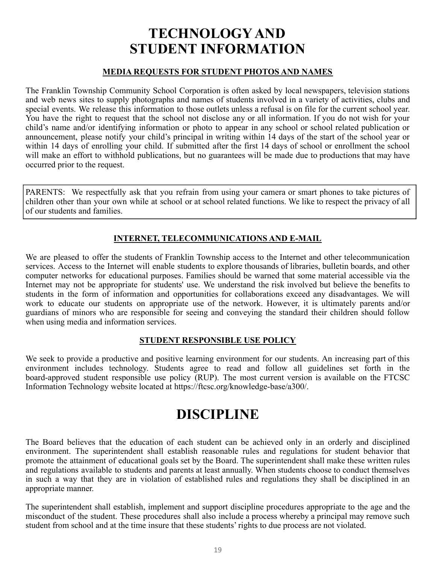# **TECHNOLOGY AND STUDENT INFORMATION**

#### **MEDIA REQUESTS FOR STUDENT PHOTOS AND NAMES**

The Franklin Township Community School Corporation is often asked by local newspapers, television stations and web news sites to supply photographs and names of students involved in a variety of activities, clubs and special events. We release this information to those outlets unless a refusal is on file for the current school year. You have the right to request that the school not disclose any or all information. If you do not wish for your child's name and/or identifying information or photo to appear in any school or school related publication or announcement, please notify your child's principal in writing within 14 days of the start of the school year or within 14 days of enrolling your child. If submitted after the first 14 days of school or enrollment the school will make an effort to withhold publications, but no guarantees will be made due to productions that may have occurred prior to the request.

PARENTS: We respectfully ask that you refrain from using your camera or smart phones to take pictures of children other than your own while at school or at school related functions. We like to respect the privacy of all of our students and families.

# **INTERNET, TELECOMMUNICATIONS AND E-MAIL**

We are pleased to offer the students of Franklin Township access to the Internet and other telecommunication services. Access to the Internet will enable students to explore thousands of libraries, bulletin boards, and other computer networks for educational purposes. Families should be warned that some material accessible via the Internet may not be appropriate for students' use. We understand the risk involved but believe the benefits to students in the form of information and opportunities for collaborations exceed any disadvantages. We will work to educate our students on appropriate use of the network. However, it is ultimately parents and/or guardians of minors who are responsible for seeing and conveying the standard their children should follow when using media and information services.

### **STUDENT RESPONSIBLE USE POLICY**

We seek to provide a productive and positive learning environment for our students. An increasing part of this environment includes technology. Students agree to read and follow all guidelines set forth in the board-approved student responsible use policy (RUP). The most current version is available on the FTCSC Information Technology website located at [h](https://ftcsc.org/information-technology/)ttps://ftcsc.org/knowledge-base/a300/.

# **DISCIPLINE**

The Board believes that the education of each student can be achieved only in an orderly and disciplined environment. The superintendent shall establish reasonable rules and regulations for student behavior that promote the attainment of educational goals set by the Board. The superintendent shall make these written rules and regulations available to students and parents at least annually. When students choose to conduct themselves in such a way that they are in violation of established rules and regulations they shall be disciplined in an appropriate manner.

The superintendent shall establish, implement and support discipline procedures appropriate to the age and the misconduct of the student. These procedures shall also include a process whereby a principal may remove such student from school and at the time insure that these students' rights to due process are not violated.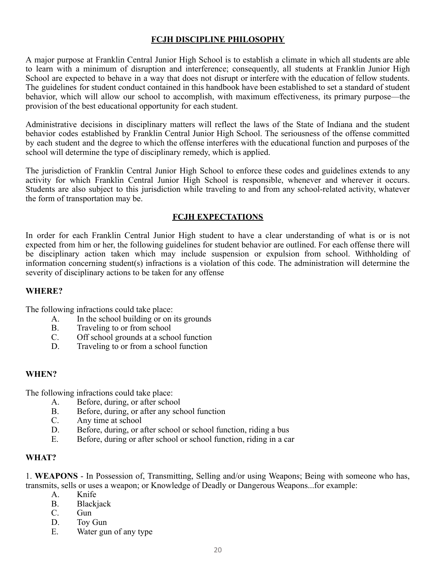### **FCJH DISCIPLINE PHILOSOPHY**

A major purpose at Franklin Central Junior High School is to establish a climate in which all students are able to learn with a minimum of disruption and interference; consequently, all students at Franklin Junior High School are expected to behave in a way that does not disrupt or interfere with the education of fellow students. The guidelines for student conduct contained in this handbook have been established to set a standard of student behavior, which will allow our school to accomplish, with maximum effectiveness, its primary purpose—the provision of the best educational opportunity for each student.

Administrative decisions in disciplinary matters will reflect the laws of the State of Indiana and the student behavior codes established by Franklin Central Junior High School. The seriousness of the offense committed by each student and the degree to which the offense interferes with the educational function and purposes of the school will determine the type of disciplinary remedy, which is applied.

The jurisdiction of Franklin Central Junior High School to enforce these codes and guidelines extends to any activity for which Franklin Central Junior High School is responsible, whenever and wherever it occurs. Students are also subject to this jurisdiction while traveling to and from any school-related activity, whatever the form of transportation may be.

#### **FCJH EXPECTATIONS**

In order for each Franklin Central Junior High student to have a clear understanding of what is or is not expected from him or her, the following guidelines for student behavior are outlined. For each offense there will be disciplinary action taken which may include suspension or expulsion from school. Withholding of information concerning student(s) infractions is a violation of this code. The administration will determine the severity of disciplinary actions to be taken for any offense

#### **WHERE?**

The following infractions could take place:

- A. In the school building or on its grounds
- B. Traveling to or from school
- C. Off school grounds at a school function
- D. Traveling to or from a school function

### **WHEN?**

The following infractions could take place:

- A. Before, during, or after school<br>B. Before, during, or after any school
- Before, during, or after any school function
- C. Any time at school
- D. Before, during, or after school or school function, riding a bus<br>E. Before, during or after school or school function, riding in a ca
- Before, during or after school or school function, riding in a car

#### **WHAT?**

1. **WEAPONS** - In Possession of, Transmitting, Selling and/or using Weapons; Being with someone who has, transmits, sells or uses a weapon; or Knowledge of Deadly or Dangerous Weapons...for example:

- A. Knife
- B. Blackjack
- C. Gun
- D. Toy Gun
- E. Water gun of any type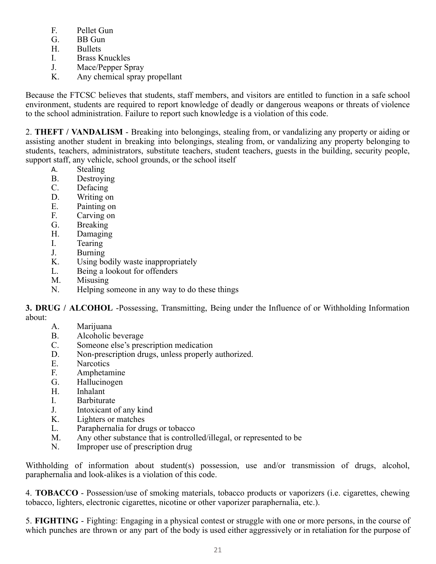- F. Pellet Gun
- G. BB Gun
- H. Bullets
- I. Brass Knuckles
- J. Mace/Pepper Spray
- K. Any chemical spray propellant

Because the FTCSC believes that students, staff members, and visitors are entitled to function in a safe school environment, students are required to report knowledge of deadly or dangerous weapons or threats of violence to the school administration. Failure to report such knowledge is a violation of this code.

2. **THEFT / VANDALISM** - Breaking into belongings, stealing from, or vandalizing any property or aiding or assisting another student in breaking into belongings, stealing from, or vandalizing any property belonging to students, teachers, administrators, substitute teachers, student teachers, guests in the building, security people, support staff, any vehicle, school grounds, or the school itself

- A. Stealing
- B. Destroying
- C. Defacing
- D. Writing on
- E. Painting on
- F. Carving on
- G. Breaking
- H. Damaging
- I. Tearing
- J. Burning
- K. Using bodily waste inappropriately
- L. Being a lookout for offenders
- M. Misusing
- N. Helping someone in any way to do these things

**3. DRUG / ALCOHOL** -Possessing, Transmitting, Being under the Influence of or Withholding Information about:

- A. Marijuana
- B. Alcoholic beverage<br>C. Someone else's pres
- Someone else's prescription medication
- D. Non-prescription drugs, unless properly authorized.
- E. Narcotics<br>F. Amphetar
- Amphetamine
- G. Hallucinogen
- H. Inhalant
- I. Barbiturate
- J. Intoxicant of any kind
- K. Lighters or matches
- L. Paraphernalia for drugs or tobacco
- M. Any other substance that is controlled/illegal, or represented to be
- N. Improper use of prescription drug

Withholding of information about student(s) possession, use and/or transmission of drugs, alcohol, paraphernalia and look-alikes is a violation of this code.

4. **TOBACCO** - Possession/use of smoking materials, tobacco products or vaporizers (i.e. cigarettes, chewing tobacco, lighters, electronic cigarettes, nicotine or other vaporizer paraphernalia, etc.).

5. **FIGHTING** - Fighting: Engaging in a physical contest or struggle with one or more persons, in the course of which punches are thrown or any part of the body is used either aggressively or in retaliation for the purpose of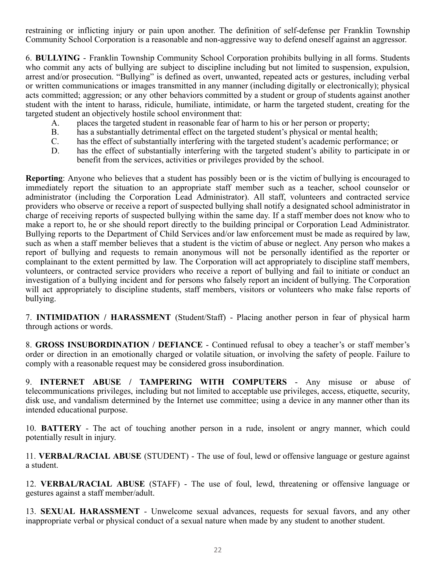restraining or inflicting injury or pain upon another. The definition of self-defense per Franklin Township Community School Corporation is a reasonable and non-aggressive way to defend oneself against an aggressor.

6. **BULLYING** - Franklin Township Community School Corporation prohibits bullying in all forms. Students who commit any acts of bullying are subject to discipline including but not limited to suspension, expulsion, arrest and/or prosecution. "Bullying" is defined as overt, unwanted, repeated acts or gestures, including verbal or written communications or images transmitted in any manner (including digitally or electronically); physical acts committed; aggression; or any other behaviors committed by a student or group of students against another student with the intent to harass, ridicule, humiliate, intimidate, or harm the targeted student, creating for the targeted student an objectively hostile school environment that:

- A. places the targeted student in reasonable fear of harm to his or her person or property;
- B. has a substantially detrimental effect on the targeted student's physical or mental health;
- C. has the effect of substantially interfering with the targeted student's academic performance; or
- D. has the effect of substantially interfering with the targeted student's ability to participate in or benefit from the services, activities or privileges provided by the school.

**Reporting**: Anyone who believes that a student has possibly been or is the victim of bullying is encouraged to immediately report the situation to an appropriate staff member such as a teacher, school counselor or administrator (including the Corporation Lead Administrator). All staff, volunteers and contracted service providers who observe or receive a report of suspected bullying shall notify a designated school administrator in charge of receiving reports of suspected bullying within the same day. If a staff member does not know who to make a report to, he or she should report directly to the building principal or Corporation Lead Administrator. Bullying reports to the Department of Child Services and/or law enforcement must be made as required by law, such as when a staff member believes that a student is the victim of abuse or neglect. Any person who makes a report of bullying and requests to remain anonymous will not be personally identified as the reporter or complainant to the extent permitted by law. The Corporation will act appropriately to discipline staff members, volunteers, or contracted service providers who receive a report of bullying and fail to initiate or conduct an investigation of a bullying incident and for persons who falsely report an incident of bullying. The Corporation will act appropriately to discipline students, staff members, visitors or volunteers who make false reports of bullying.

7. **INTIMIDATION / HARASSMENT** (Student/Staff) - Placing another person in fear of physical harm through actions or words.

8. **GROSS INSUBORDINATION / DEFIANCE** - Continued refusal to obey a teacher's or staff member's order or direction in an emotionally charged or volatile situation, or involving the safety of people. Failure to comply with a reasonable request may be considered gross insubordination.

9. **INTERNET ABUSE / TAMPERING WITH COMPUTERS** - Any misuse or abuse of telecommunications privileges, including but not limited to acceptable use privileges, access, etiquette, security, disk use, and vandalism determined by the Internet use committee; using a device in any manner other than its intended educational purpose.

10. **BATTERY** - The act of touching another person in a rude, insolent or angry manner, which could potentially result in injury.

11. **VERBAL/RACIAL ABUSE** (STUDENT) - The use of foul, lewd or offensive language or gesture against a student.

12. **VERBAL/RACIAL ABUSE** (STAFF) - The use of foul, lewd, threatening or offensive language or gestures against a staff member/adult.

13. **SEXUAL HARASSMENT** - Unwelcome sexual advances, requests for sexual favors, and any other inappropriate verbal or physical conduct of a sexual nature when made by any student to another student.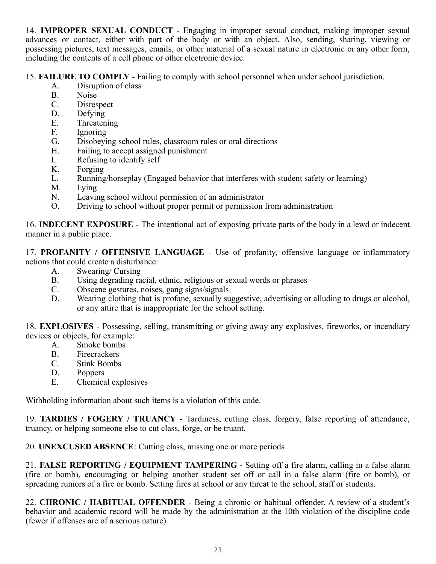14. **IMPROPER SEXUAL CONDUCT** - Engaging in improper sexual conduct, making improper sexual advances or contact, either with part of the body or with an object. Also, sending, sharing, viewing or possessing pictures, text messages, emails, or other material of a sexual nature in electronic or any other form, including the contents of a cell phone or other electronic device.

15. **FAILURE TO COMPLY** - Failing to comply with school personnel when under school jurisdiction.

- A. Disruption of class<br>B. Noise
- Noise
- C. Disrespect
- D. Defying
- E. Threatening
- F. Ignoring
- G. Disobeying school rules, classroom rules or oral directions
- H. Failing to accept assigned punishment
- I. Refusing to identify self<br>K. Forging
- Forging
- L. Running/horseplay (Engaged behavior that interferes with student safety or learning)
- M. Lying
- N. Leaving school without permission of an administrator
- O. Driving to school without proper permit or permission from administration

16. **INDECENT EXPOSURE** - The intentional act of exposing private parts of the body in a lewd or indecent manner in a public place.

17. **PROFANITY / OFFENSIVE LANGUAGE** - Use of profanity, offensive language or inflammatory actions that could create a disturbance:

- A. Swearing/ Cursing
- B. Using degrading racial, ethnic, religious or sexual words or phrases
- C. Obscene gestures, noises, gang signs/signals
- D. Wearing clothing that is profane, sexually suggestive, advertising or alluding to drugs or alcohol, or any attire that is inappropriate for the school setting.

18. **EXPLOSIVES** - Possessing, selling, transmitting or giving away any explosives, fireworks, or incendiary devices or objects, for example:

- A. Smoke bombs
- B. Firecrackers
- C. Stink Bombs
- D. Poppers
- E. Chemical explosives

Withholding information about such items is a violation of this code.

19. **TARDIES / FOGERY / TRUANCY** - Tardiness, cutting class, forgery, false reporting of attendance, truancy, or helping someone else to cut class, forge, or be truant.

20. **UNEXCUSED ABSENCE**: Cutting class, missing one or more periods

21. **FALSE REPORTING / EQUIPMENT TAMPERING** - Setting off a fire alarm, calling in a false alarm (fire or bomb), encouraging or helping another student set off or call in a false alarm (fire or bomb), or spreading rumors of a fire or bomb. Setting fires at school or any threat to the school, staff or students.

22. **CHRONIC / HABITUAL OFFENDER** - Being a chronic or habitual offender. A review of a student's behavior and academic record will be made by the administration at the 10th violation of the discipline code (fewer if offenses are of a serious nature).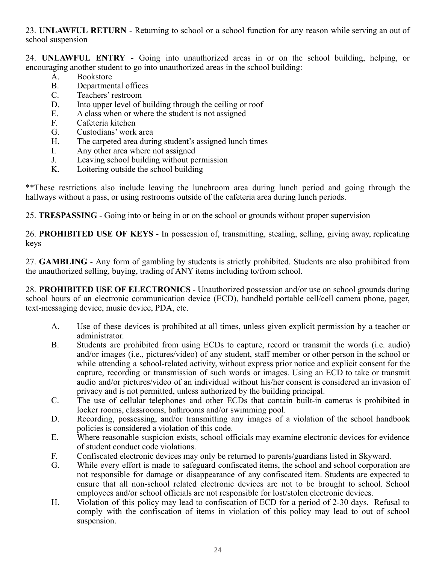23. **UNLAWFUL RETURN** - Returning to school or a school function for any reason while serving an out of school suspension

24. **UNLAWFUL ENTRY** - Going into unauthorized areas in or on the school building, helping, or encouraging another student to go into unauthorized areas in the school building:

- A. Bookstore
- B. Departmental offices<br>C. Teachers' restroom
- Teachers' restroom
- D. Into upper level of building through the ceiling or roof
- E. A class when or where the student is not assigned
- F. Cafeteria kitchen
- G. Custodians' work area
- H. The carpeted area during student's assigned lunch times
- I. Any other area where not assigned
- J. Leaving school building without permission<br>K. Loitering outside the school building
- Loitering outside the school building

\*\*These restrictions also include leaving the lunchroom area during lunch period and going through the hallways without a pass, or using restrooms outside of the cafeteria area during lunch periods.

25. **TRESPASSING** - Going into or being in or on the school or grounds without proper supervision

26. **PROHIBITED USE OF KEYS** - In possession of, transmitting, stealing, selling, giving away, replicating keys

27. **GAMBLING** - Any form of gambling by students is strictly prohibited. Students are also prohibited from the unauthorized selling, buying, trading of ANY items including to/from school.

28. **PROHIBITED USE OF ELECTRONICS** - Unauthorized possession and/or use on school grounds during school hours of an electronic communication device (ECD), handheld portable cell/cell camera phone, pager, text-messaging device, music device, PDA, etc.

- A. Use of these devices is prohibited at all times, unless given explicit permission by a teacher or administrator.
- B. Students are prohibited from using ECDs to capture, record or transmit the words (i.e. audio) and/or images (i.e., pictures/video) of any student, staff member or other person in the school or while attending a school-related activity, without express prior notice and explicit consent for the capture, recording or transmission of such words or images. Using an ECD to take or transmit audio and/or pictures/video of an individual without his/her consent is considered an invasion of privacy and is not permitted, unless authorized by the building principal.
- C. The use of cellular telephones and other ECDs that contain built-in cameras is prohibited in locker rooms, classrooms, bathrooms and/or swimming pool.
- D. Recording, possessing, and/or transmitting any images of a violation of the school handbook policies is considered a violation of this code.
- E. Where reasonable suspicion exists, school officials may examine electronic devices for evidence of student conduct code violations.
- F. Confiscated electronic devices may only be returned to parents/guardians listed in Skyward.
- G. While every effort is made to safeguard confiscated items, the school and school corporation are not responsible for damage or disappearance of any confiscated item. Students are expected to ensure that all non-school related electronic devices are not to be brought to school. School employees and/or school officials are not responsible for lost/stolen electronic devices.
- H. Violation of this policy may lead to confiscation of ECD for a period of 2-30 days. Refusal to comply with the confiscation of items in violation of this policy may lead to out of school suspension.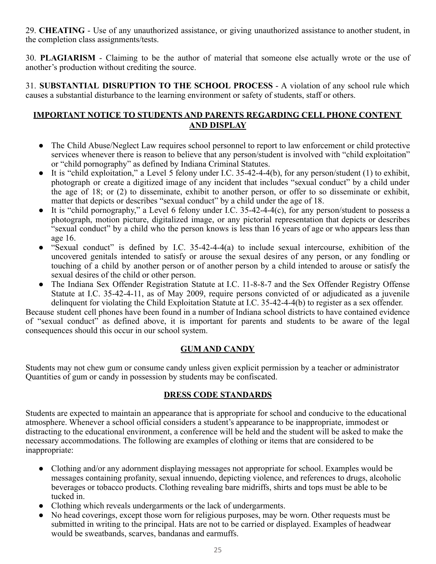29. **CHEATING** - Use of any unauthorized assistance, or giving unauthorized assistance to another student, in the completion class assignments/tests.

30. **PLAGIARISM** - Claiming to be the author of material that someone else actually wrote or the use of another's production without crediting the source.

31. **SUBSTANTIAL DISRUPTION TO THE SCHOOL PROCESS** - A violation of any school rule which causes a substantial disturbance to the learning environment or safety of students, staff or others.

# **IMPORTANT NOTICE TO STUDENTS AND PARENTS REGARDING CELL PHONE CONTENT AND DISPLAY**

- The Child Abuse/Neglect Law requires school personnel to report to law enforcement or child protective services whenever there is reason to believe that any person/student is involved with "child exploitation" or "child pornography" as defined by Indiana Criminal Statutes.
- It is "child exploitation," a Level 5 felony under I.C. 35-42-4-4(b), for any person/student (1) to exhibit, photograph or create a digitized image of any incident that includes "sexual conduct" by a child under the age of 18; or (2) to disseminate, exhibit to another person, or offer to so disseminate or exhibit, matter that depicts or describes "sexual conduct" by a child under the age of 18.
- It is "child pornography," a Level 6 felony under I.C.  $35-42-4-4(c)$ , for any person/student to possess a photograph, motion picture, digitalized image, or any pictorial representation that depicts or describes "sexual conduct" by a child who the person knows is less than 16 years of age or who appears less than age 16.
- "Sexual conduct" is defined by I.C. 35-42-4-4(a) to include sexual intercourse, exhibition of the uncovered genitals intended to satisfy or arouse the sexual desires of any person, or any fondling or touching of a child by another person or of another person by a child intended to arouse or satisfy the sexual desires of the child or other person.
- The Indiana Sex Offender Registration Statute at I.C. 11-8-8-7 and the Sex Offender Registry Offense Statute at I.C. 35-42-4-11, as of May 2009, require persons convicted of or adjudicated as a juvenile delinquent for violating the Child Exploitation Statute at I.C. 35-42-4-4(b) to register as a sex offender.

Because student cell phones have been found in a number of Indiana school districts to have contained evidence of "sexual conduct" as defined above, it is important for parents and students to be aware of the legal consequences should this occur in our school system.

# **GUM AND CANDY**

Students may not chew gum or consume candy unless given explicit permission by a teacher or administrator Quantities of gum or candy in possession by students may be confiscated.

### **DRESS CODE STANDARDS**

Students are expected to maintain an appearance that is appropriate for school and conducive to the educational atmosphere. Whenever a school official considers a student's appearance to be inappropriate, immodest or distracting to the educational environment, a conference will be held and the student will be asked to make the necessary accommodations. The following are examples of clothing or items that are considered to be inappropriate:

- Clothing and/or any adornment displaying messages not appropriate for school. Examples would be messages containing profanity, sexual innuendo, depicting violence, and references to drugs, alcoholic beverages or tobacco products. Clothing revealing bare midriffs, shirts and tops must be able to be tucked in.
- Clothing which reveals undergarments or the lack of undergarments.
- No head coverings, except those worn for religious purposes, may be worn. Other requests must be submitted in writing to the principal. Hats are not to be carried or displayed. Examples of headwear would be sweatbands, scarves, bandanas and earmuffs.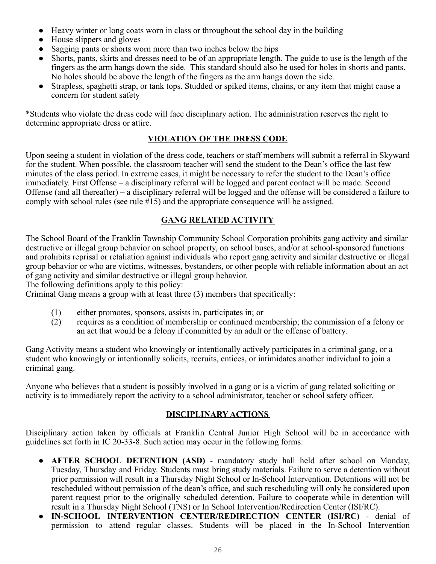- Heavy winter or long coats worn in class or throughout the school day in the building
- House slippers and gloves
- Sagging pants or shorts worn more than two inches below the hips
- Shorts, pants, skirts and dresses need to be of an appropriate length. The guide to use is the length of the fingers as the arm hangs down the side. This standard should also be used for holes in shorts and pants. No holes should be above the length of the fingers as the arm hangs down the side.
- Strapless, spaghetti strap, or tank tops. Studded or spiked items, chains, or any item that might cause a concern for student safety

\*Students who violate the dress code will face disciplinary action. The administration reserves the right to determine appropriate dress or attire.

### **VIOLATION OF THE DRESS CODE**

Upon seeing a student in violation of the dress code, teachers or staff members will submit a referral in Skyward for the student. When possible, the classroom teacher will send the student to the Dean's office the last few minutes of the class period. In extreme cases, it might be necessary to refer the student to the Dean's office immediately. First Offense – a disciplinary referral will be logged and parent contact will be made. Second Offense (and all thereafter) – a disciplinary referral will be logged and the offense will be considered a failure to comply with school rules (see rule #15) and the appropriate consequence will be assigned.

# **GANG RELATED ACTIVITY**

The School Board of the Franklin Township Community School Corporation prohibits gang activity and similar destructive or illegal group behavior on school property, on school buses, and/or at school-sponsored functions and prohibits reprisal or retaliation against individuals who report gang activity and similar destructive or illegal group behavior or who are victims, witnesses, bystanders, or other people with reliable information about an act of gang activity and similar destructive or illegal group behavior.

The following definitions apply to this policy:

Criminal Gang means a group with at least three (3) members that specifically:

- (1) either promotes, sponsors, assists in, participates in; or
- (2) requires as a condition of membership or continued membership; the commission of a felony or an act that would be a felony if committed by an adult or the offense of battery.

Gang Activity means a student who knowingly or intentionally actively participates in a criminal gang, or a student who knowingly or intentionally solicits, recruits, entices, or intimidates another individual to join a criminal gang.

Anyone who believes that a student is possibly involved in a gang or is a victim of gang related soliciting or activity is to immediately report the activity to a school administrator, teacher or school safety officer.

# **DISCIPLINARY ACTIONS**

Disciplinary action taken by officials at Franklin Central Junior High School will be in accordance with guidelines set forth in IC 20-33-8. Such action may occur in the following forms:

- **AFTER SCHOOL DETENTION (ASD)** mandatory study hall held after school on Monday, Tuesday, Thursday and Friday. Students must bring study materials. Failure to serve a detention without prior permission will result in a Thursday Night School or In-School Intervention. Detentions will not be rescheduled without permission of the dean's office, and such rescheduling will only be considered upon parent request prior to the originally scheduled detention. Failure to cooperate while in detention will result in a Thursday Night School (TNS) or In School Intervention/Redirection Center (ISI/RC).
- **IN-SCHOOL INTERVENTION CENTER/REDIRECTION CENTER (ISI/RC)** denial of permission to attend regular classes. Students will be placed in the In-School Intervention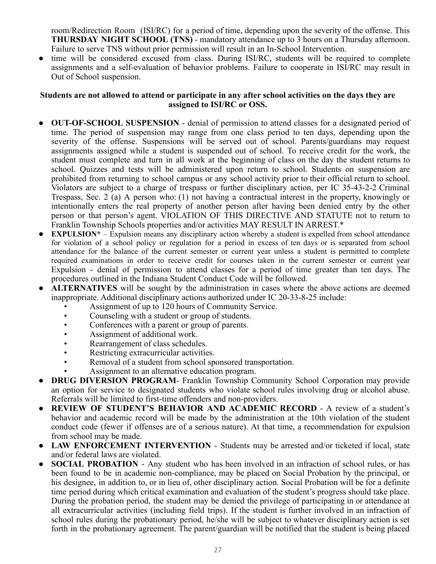room/Redirection Room (ISI/RC) for a period of time, depending upon the severity of the offense. This **THURSDAY NIGHT SCHOOL (TNS)** - mandatory attendance up to 3 hours on a Thursday afternoon. Failure to serve TNS without prior permission will result in an In-School Intervention.

time will be considered excused from class. During ISI/RC, students will be required to complete assignments and a self-evaluation of behavior problems. Failure to cooperate in ISI/RC may result in Out of School suspension.

#### **Students are not allowed to attend or participate in any after school activities on the days they are assigned to ISI/RC or OSS.**

- **OUT-OF-SCHOOL SUSPENSION** denial of permission to attend classes for a designated period of time. The period of suspension may range from one class period to ten days, depending upon the severity of the offense. Suspensions will be served out of school. Parents/guardians may request assignments assigned while a student is suspended out of school. To receive credit for the work, the student must complete and turn in all work at the beginning of class on the day the student returns to school. Quizzes and tests will be administered upon return to school. Students on suspension are prohibited from returning to school campus or any school activity prior to their official return to school. Violators are subject to a charge of trespass or further disciplinary action, per IC 35-43-2-2 Criminal Trespass, Sec. 2 (a) A person who: (1) not having a contractual interest in the property, knowingly or intentionally enters the real property of another person after having been denied entry by the other person or that person's agent. VIOLATION OF THIS DIRECTIVE AND STATUTE not to return to Franklin Township Schools properties and/or activities MAY RESULT IN ARREST.\*
- **EXPULSION\*** Expulsion means any disciplinary action whereby a student is expelled from school attendance for violation of a school policy or regulation for a period in excess of ten days or is separated from school attendance for the balance of the current semester or current year unless a student is permitted to complete required examinations in order to receive credit for courses taken in the current semester or current year Expulsion - denial of permission to attend classes for a period of time greater than ten days. The procedures outlined in the Indiana Student Conduct Code will be followed.
- **ALTERNATIVES** will be sought by the administration in cases where the above actions are deemed inappropriate. Additional disciplinary actions authorized under IC 20-33-8-25 include:
	- Assignment of up to 120 hours of Community Service.
	- Counseling with a student or group of students.
	- Conferences with a parent or group of parents.
	- Assignment of additional work.
	- Rearrangement of class schedules.
	- Restricting extracurricular activities.
	- Removal of a student from school sponsored transportation.
	- Assignment to an alternative education program.
- **DRUG DIVERSION PROGRAM** Franklin Township Community School Corporation may provide an option for service to designated students who violate school rules involving drug or alcohol abuse. Referrals will be limited to first-time offenders and non-providers.
- **REVIEW OF STUDENT'S BEHAVIOR AND ACADEMIC RECORD** A review of a student's behavior and academic record will be made by the administration at the 10th violation of the student conduct code (fewer if offenses are of a serious nature). At that time, a recommendation for expulsion from school may be made.
- **LAW ENFORCEMENT INTERVENTION** Students may be arrested and/or ticketed if local, state and/or federal laws are violated.
- **SOCIAL PROBATION** Any student who has been involved in an infraction of school rules, or has been found to be in academic non-compliance, may be placed on Social Probation by the principal, or his designee, in addition to, or in lieu of, other disciplinary action. Social Probation will be for a definite time period during which critical examination and evaluation of the student's progress should take place. During the probation period, the student may be denied the privilege of participating in or attendance at all extracurricular activities (including field trips). If the student is further involved in an infraction of school rules during the probationary period, he/she will be subject to whatever disciplinary action is set forth in the probationary agreement. The parent/guardian will be notified that the student is being placed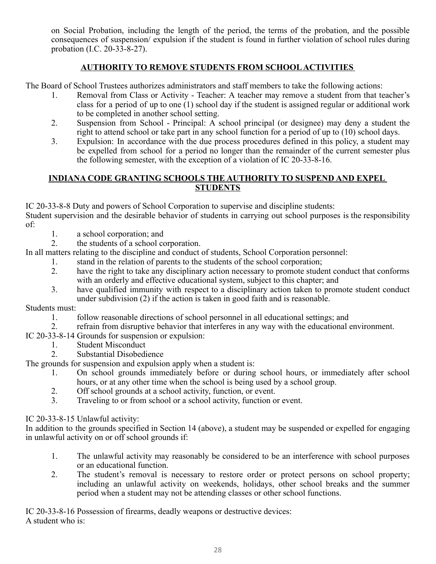on Social Probation, including the length of the period, the terms of the probation, and the possible consequences of suspension/ expulsion if the student is found in further violation of school rules during probation (I.C. 20-33-8-27).

# **AUTHORITY TO REMOVE STUDENTS FROM SCHOOL ACTIVITIES**

The Board of School Trustees authorizes administrators and staff members to take the following actions:

- 1. Removal from Class or Activity Teacher: A teacher may remove a student from that teacher's class for a period of up to one (1) school day if the student is assigned regular or additional work to be completed in another school setting.
- 2. Suspension from School Principal: A school principal (or designee) may deny a student the right to attend school or take part in any school function for a period of up to (10) school days.
- 3. Expulsion: In accordance with the due process procedures defined in this policy, a student may be expelled from school for a period no longer than the remainder of the current semester plus the following semester, with the exception of a violation of IC 20-33-8-16.

### **INDIANA CODE GRANTING SCHOOLS THE AUTHORITY TO SUSPEND AND EXPEL STUDENTS**

IC 20-33-8-8 Duty and powers of School Corporation to supervise and discipline students:

Student supervision and the desirable behavior of students in carrying out school purposes is the responsibility of:

- 1. a school corporation; and
- 2. the students of a school corporation.

In all matters relating to the discipline and conduct of students, School Corporation personnel:

- 1. stand in the relation of parents to the students of the school corporation;
- 2. have the right to take any disciplinary action necessary to promote student conduct that conforms with an orderly and effective educational system, subject to this chapter; and
- 3. have qualified immunity with respect to a disciplinary action taken to promote student conduct under subdivision (2) if the action is taken in good faith and is reasonable.

Students must:

- 1. follow reasonable directions of school personnel in all educational settings; and
- 2. refrain from disruptive behavior that interferes in any way with the educational environment.
- IC 20-33-8-14 Grounds for suspension or expulsion:
	- 1. Student Misconduct<br>2. Substantial Disobedi
	- Substantial Disobedience

The grounds for suspension and expulsion apply when a student is:

- 1. On school grounds immediately before or during school hours, or immediately after school hours, or at any other time when the school is being used by a school group.
- 2. Off school grounds at a school activity, function, or event.
- 3. Traveling to or from school or a school activity, function or event.

IC 20-33-8-15 Unlawful activity:

In addition to the grounds specified in Section 14 (above), a student may be suspended or expelled for engaging in unlawful activity on or off school grounds if:

- 1. The unlawful activity may reasonably be considered to be an interference with school purposes or an educational function.
- 2. The student's removal is necessary to restore order or protect persons on school property; including an unlawful activity on weekends, holidays, other school breaks and the summer period when a student may not be attending classes or other school functions.

IC 20-33-8-16 Possession of firearms, deadly weapons or destructive devices: A student who is: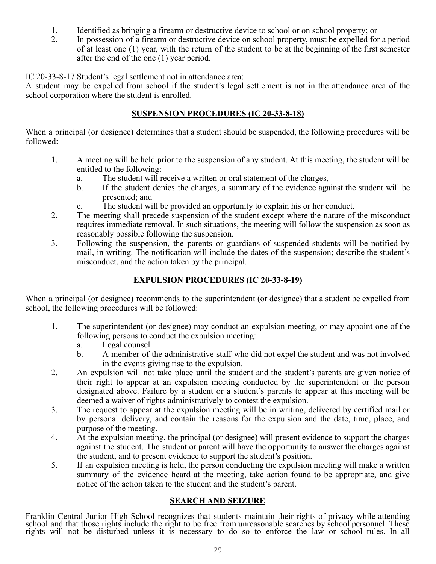- 1. Identified as bringing a firearm or destructive device to school or on school property; or<br>2. In possession of a firearm or destructive device on school property, must be expelled for
- 2. In possession of a firearm or destructive device on school property, must be expelled for a period of at least one (1) year, with the return of the student to be at the beginning of the first semester after the end of the one (1) year period.

IC 20-33-8-17 Student's legal settlement not in attendance area:

A student may be expelled from school if the student's legal settlement is not in the attendance area of the school corporation where the student is enrolled.

# **SUSPENSION PROCEDURES (IC 20-33-8-18)**

When a principal (or designee) determines that a student should be suspended, the following procedures will be followed:

- 1. A meeting will be held prior to the suspension of any student. At this meeting, the student will be entitled to the following:
	- a. The student will receive a written or oral statement of the charges,
	- b. If the student denies the charges, a summary of the evidence against the student will be presented; and
	- c. The student will be provided an opportunity to explain his or her conduct.
- 2. The meeting shall precede suspension of the student except where the nature of the misconduct requires immediate removal. In such situations, the meeting will follow the suspension as soon as reasonably possible following the suspension.
- 3. Following the suspension, the parents or guardians of suspended students will be notified by mail, in writing. The notification will include the dates of the suspension; describe the student's misconduct, and the action taken by the principal.

# **EXPULSION PROCEDURES (IC 20-33-8-19)**

When a principal (or designee) recommends to the superintendent (or designee) that a student be expelled from school, the following procedures will be followed:

- 1. The superintendent (or designee) may conduct an expulsion meeting, or may appoint one of the following persons to conduct the expulsion meeting:
	- a. Legal counsel
	- b. A member of the administrative staff who did not expel the student and was not involved in the events giving rise to the expulsion.
- 2. An expulsion will not take place until the student and the student's parents are given notice of their right to appear at an expulsion meeting conducted by the superintendent or the person designated above. Failure by a student or a student's parents to appear at this meeting will be deemed a waiver of rights administratively to contest the expulsion.
- 3. The request to appear at the expulsion meeting will be in writing, delivered by certified mail or by personal delivery, and contain the reasons for the expulsion and the date, time, place, and purpose of the meeting.
- 4. At the expulsion meeting, the principal (or designee) will present evidence to support the charges against the student. The student or parent will have the opportunity to answer the charges against the student, and to present evidence to support the student's position.
- 5. If an expulsion meeting is held, the person conducting the expulsion meeting will make a written summary of the evidence heard at the meeting, take action found to be appropriate, and give notice of the action taken to the student and the student's parent.

# **SEARCH AND SEIZURE**

Franklin Central Junior High School recognizes that students maintain their rights of privacy while attending school and that those rights include the right to be free from unreasonable searches by school personnel. These rights will not be disturbed unless it is necessary to do so to enforce the law or school rules. In all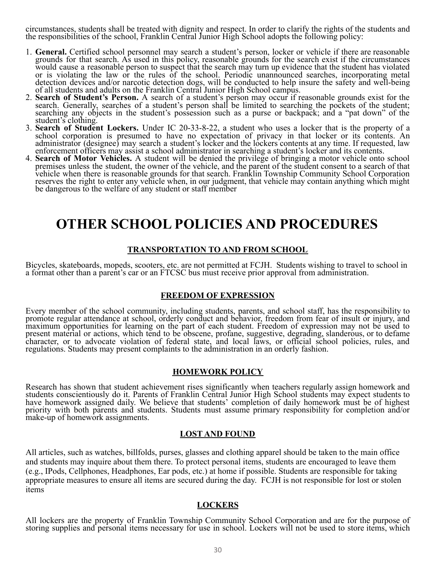circumstances, students shall be treated with dignity and respect. In order to clarify the rights of the students and the responsibilities of the school, Franklin Central Junior High School adopts the following policy:

- 1. **General.** Certified school personnel may search a student's person, locker or vehicle if there are reasonable grounds for that search. As used in this policy, reasonable grounds for the search exist if the circumstances would cause a reasonable person to suspect that the search may turn up evidence that the student has violated or is violating the law or the rules of the school. Periodic unannounced searches, incorporating metal detection devices and/or narcotic detection dogs, will be conducted to help insure the safety and well-being of all students and adults on the Franklin Central Junior High School campus.
- 2. **Search of Student's Person.** A search of a student's person may occur if reasonable grounds exist for the search. Generally, searches of a student's person shall be limited to searching the pockets of the student; searching any objects in the student's possession such as a purse or backpack; and a "pat down" of the student's clothing.
- 3. **Search of Student Lockers.** Under IC 20-33-8-22, a student who uses a locker that is the property of a school corporation is presumed to have no expectation of privacy in that locker or its contents. An administrator (designee) may search a student's locker and the lockers contents at any time. If requested, law enforcement officers may assist a school administrator in searching a student's locker and its contents.
- 4. **Search of Motor Vehicles.** A student will be denied the privilege of bringing a motor vehicle onto school premises unless the student, the owner of the vehicle, and the parent of the student consent to a search of that vehicle when there is reasonable grounds for that search. Franklin Township Community School Corporation reserves the right to enter any vehicle when, in our judgment, that vehicle may contain anything which might be dangerous to the welfare of any student or staff member

# **OTHER SCHOOL POLICIES AND PROCEDURES**

#### **TRANSPORTATION TO AND FROM SCHOOL**

Bicycles, skateboards, mopeds, scooters, etc. are not permitted at FCJH. Students wishing to travel to school in a format other than a parent's car or an FTCSC bus must receive prior approval from administration.

#### **FREEDOM OF EXPRESSION**

Every member of the school community, including students, parents, and school staff, has the responsibility to promote regular attendance at school, orderly conduct and behavior, freedom from fear of insult or injury, and maximum opportunities for learning on the part of each student. Freedom of expression may not be used to present material or actions, which tend to be obscene, profane, suggestive, degrading, slanderous, or to defame character, or to advocate violation of federal state, and local laws, or official school policies, rules, and regulations. Students may present complaints to the administration in an orderly fashion.

#### **HOMEWORK POLICY**

Research has shown that student achievement rises significantly when teachers regularly assign homework and students conscientiously do it. Parents of Franklin Central Junior High School students may expect students to have homework assigned daily. We believe that students' completion of daily homework must be of highest priority with both parents and students. Students must assume primary responsibility for completion and/or make-up of homework assignments.

#### **LOST AND FOUND**

All articles, such as watches, billfolds, purses, glasses and clothing apparel should be taken to the main office and students may inquire about them there. To protect personal items, students are encouraged to leave them (e.g., IPods, Cellphones, Headphones, Ear pods, etc.) at home if possible. Students are responsible for taking appropriate measures to ensure all items are secured during the day. FCJH is not responsible for lost or stolen items

#### **LOCKERS**

All lockers are the property of Franklin Township Community School Corporation and are for the purpose of storing supplies and personal items necessary for use in school. Lockers will not be used to store items, which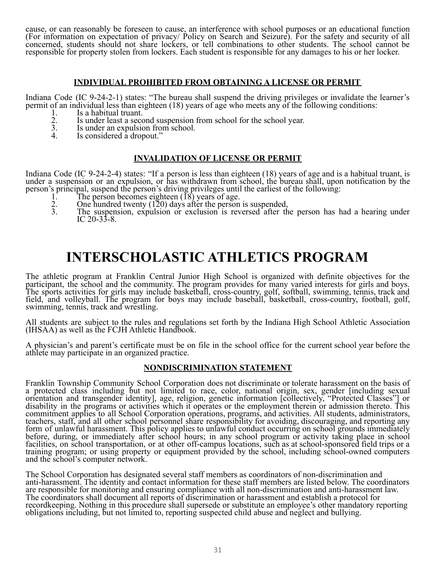cause, or can reasonably be foreseen to cause, an interference with school purposes or an educational function (For information on expectation of privacy/ Policy on Search and Seizure). For the safety and security of all concerned, students should not share lockers, or tell combinations to other students. The school cannot be responsible for property stolen from lockers. Each student is responsible for any damages to his or her locker.

#### **INDIVIDUAL PROHIBITED FROM OBTAINING A LICENSE OR PERMIT**

Indiana Code (IC 9-24-2-1) states: "The bureau shall suspend the driving privileges or invalidate the learner's permit of an individual less than eighteen (18) years of age who meets any of the following conditions:

- 1. Is a habitual truant.<br>
2. Is under least a seco<br>
3. Is under an expulsion
- Is under least a second suspension from school for the school year.
- 3. Is under an expulsion from school.<br>4 Is considered a dropout "
- Is considered a dropout."

#### **INVALIDATION OF LICENSE OR PERMIT**

Indiana Code (IC 9-24-2-4) states: "If a person is less than eighteen (18) years of age and is a habitual truant, is under a suspension or an expulsion, or has withdrawn from school, the bureau shall, upon notification by the person's principal, suspend the person's driving privileges until the earliest of the following:

- 1. The person becomes eighteen  $\left(\overline{18}\right)$  years of age.<br>2. One hundred twenty (120) days after the person
- 2. One hundred twenty  $(120)$  days after the person is suspended,<br>3. The suspension, expulsion or exclusion is reversed after the
- The suspension, expulsion or exclusion is reversed after the person has had a hearing under IC 20-33-8.

# **INTERSCHOLASTIC ATHLETICS PROGRAM**

The athletic program at Franklin Central Junior High School is organized with definite objectives for the participant, the school and the community. The program provides for many varied interests for girls and boys. The sports activities for girls may include basketball, cross-country, golf, softball, swimming, tennis, track and field, and volleyball. The program for boys may include baseball, basketball, cross-country, football, golf, swimming, tennis, track and wrestling.

All students are subject to the rules and regulations set forth by the Indiana High School Athletic Association (IHSAA) as well as the FCJH Athletic Handbook.

A physician's and parent's certificate must be on file in the school office for the current school year before the athlete may participate in an organized practice.

#### **NONDISCRIMINATION STATEMENT**

Franklin Township Community School Corporation does not discriminate or tolerate harassment on the basis of a protected class including but not limited to race, color, national origin, sex, gender [including sexual orientation and transgender identity], age, religion, genetic information [collectively, "Protected Classes"] or disability in the programs or activities which it operates or the employment therein or admission thereto. This commitment applies to all School Corporation operations, programs, and activities. All students, administrators, teachers, staff, and all other school personnel share responsibility for avoiding, discouraging, and reporting any form of unlawful harassment. This policy applies to unlawful conduct occurring on school grounds immediately before, during, or immediately after school hours; in any school program or activity taking place in school facilities, on school transportation, or at other off-campus locations, such as at school-sponsored field trips or a training program; or using property or equipment provided by the school, including school-owned computers and the school's computer network.

The School Corporation has designated several staff members as coordinators of non-discrimination and anti-harassment. The identity and contact information for these staff members are listed below. The coordinators are responsible for monitoring and ensuring compliance with all non-discrimination and anti-harassment law. The coordinators shall document all reports of discrimination or harassment and establish a protocol for recordkeeping. Nothing in this procedure shall supersede or substitute an employee's other mandatory reporting obligations including, but not limited to, reporting suspected child abuse and neglect and bullying.